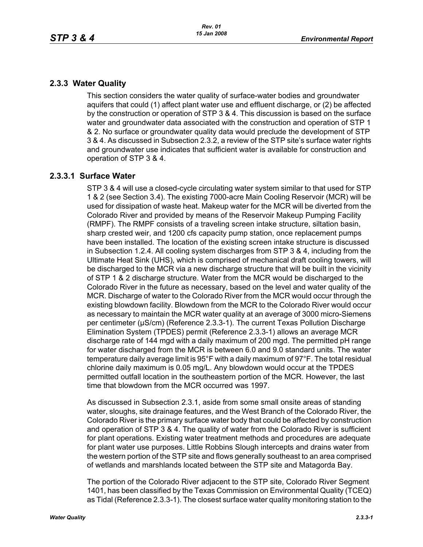# **2.3.3 Water Quality**

This section considers the water quality of surface-water bodies and groundwater aquifers that could (1) affect plant water use and effluent discharge, or (2) be affected by the construction or operation of STP 3 & 4. This discussion is based on the surface water and groundwater data associated with the construction and operation of STP 1 & 2. No surface or groundwater quality data would preclude the development of STP 3 & 4. As discussed in Subsection 2.3.2, a review of the STP site's surface water rights and groundwater use indicates that sufficient water is available for construction and operation of STP 3 & 4.

## **2.3.3.1 Surface Water**

STP 3 & 4 will use a closed-cycle circulating water system similar to that used for STP 1 & 2 (see Section 3.4). The existing 7000-acre Main Cooling Reservoir (MCR) will be used for dissipation of waste heat. Makeup water for the MCR will be diverted from the Colorado River and provided by means of the Reservoir Makeup Pumping Facility (RMPF). The RMPF consists of a traveling screen intake structure, siltation basin, sharp crested weir, and 1200 cfs capacity pump station, once replacement pumps have been installed. The location of the existing screen intake structure is discussed in Subsection 1.2.4. All cooling system discharges from STP 3 & 4, including from the Ultimate Heat Sink (UHS), which is comprised of mechanical draft cooling towers, will be discharged to the MCR via a new discharge structure that will be built in the vicinity of STP 1 & 2 discharge structure. Water from the MCR would be discharged to the Colorado River in the future as necessary, based on the level and water quality of the MCR. Discharge of water to the Colorado River from the MCR would occur through the existing blowdown facility. Blowdown from the MCR to the Colorado River would occur as necessary to maintain the MCR water quality at an average of 3000 micro-Siemens per centimeter (µS/cm) (Reference 2.3.3-1). The current Texas Pollution Discharge Elimination System (TPDES) permit (Reference 2.3.3-1) allows an average MCR discharge rate of 144 mgd with a daily maximum of 200 mgd. The permitted pH range for water discharged from the MCR is between 6.0 and 9.0 standard units. The water temperature daily average limit is 95°F with a daily maximum of 97°F. The total residual chlorine daily maximum is 0.05 mg/L. Any blowdown would occur at the TPDES permitted outfall location in the southeastern portion of the MCR. However, the last time that blowdown from the MCR occurred was 1997.

As discussed in Subsection 2.3.1, aside from some small onsite areas of standing water, sloughs, site drainage features, and the West Branch of the Colorado River, the Colorado River is the primary surface water body that could be affected by construction and operation of STP 3 & 4. The quality of water from the Colorado River is sufficient for plant operations. Existing water treatment methods and procedures are adequate for plant water use purposes. Little Robbins Slough intercepts and drains water from the western portion of the STP site and flows generally southeast to an area comprised of wetlands and marshlands located between the STP site and Matagorda Bay.

The portion of the Colorado River adjacent to the STP site, Colorado River Segment 1401, has been classified by the Texas Commission on Environmental Quality (TCEQ) as Tidal (Reference 2.3.3-1). The closest surface water quality monitoring station to the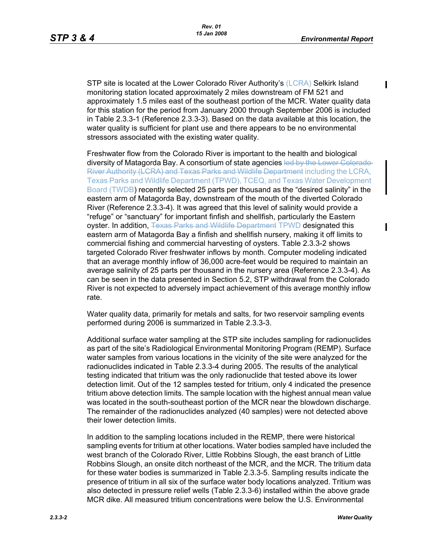П

STP site is located at the Lower Colorado River Authority's (LCRA) Selkirk Island monitoring station located approximately 2 miles downstream of FM 521 and approximately 1.5 miles east of the southeast portion of the MCR. Water quality data for this station for the period from January 2000 through September 2006 is included in Table 2.3.3-1 (Reference 2.3.3-3). Based on the data available at this location, the water quality is sufficient for plant use and there appears to be no environmental stressors associated with the existing water quality.

Freshwater flow from the Colorado River is important to the health and biological diversity of Matagorda Bay. A consortium of state agencies led by the Lower Colorado-River Authority (LCRA) and Texas Parks and Wildlife Department including the LCRA, Texas Parks and Wildlife Department (TPWD), TCEQ, and Texas Water Development Board (TWDB) recently selected 25 parts per thousand as the "desired salinity" in the eastern arm of Matagorda Bay, downstream of the mouth of the diverted Colorado River (Reference 2.3.3-4). It was agreed that this level of salinity would provide a "refuge" or "sanctuary" for important finfish and shellfish, particularly the Eastern oyster. In addition, Texas Parks and Wildlife Department TPWD designated this eastern arm of Matagorda Bay a finfish and shellfish nursery, making it off limits to commercial fishing and commercial harvesting of oysters. Table 2.3.3-2 shows targeted Colorado River freshwater inflows by month. Computer modeling indicated that an average monthly inflow of 36,000 acre-feet would be required to maintain an average salinity of 25 parts per thousand in the nursery area (Reference 2.3.3-4). As can be seen in the data presented in Section 5.2, STP withdrawal from the Colorado River is not expected to adversely impact achievement of this average monthly inflow rate.

Water quality data, primarily for metals and salts, for two reservoir sampling events performed during 2006 is summarized in Table 2.3.3-3.

Additional surface water sampling at the STP site includes sampling for radionuclides as part of the site's Radiological Environmental Monitoring Program (REMP). Surface water samples from various locations in the vicinity of the site were analyzed for the radionuclides indicated in Table 2.3.3-4 during 2005. The results of the analytical testing indicated that tritium was the only radionuclide that tested above its lower detection limit. Out of the 12 samples tested for tritium, only 4 indicated the presence tritium above detection limits. The sample location with the highest annual mean value was located in the south-southeast portion of the MCR near the blowdown discharge. The remainder of the radionuclides analyzed (40 samples) were not detected above their lower detection limits.

In addition to the sampling locations included in the REMP, there were historical sampling events for tritium at other locations. Water bodies sampled have included the west branch of the Colorado River, Little Robbins Slough, the east branch of Little Robbins Slough, an onsite ditch northeast of the MCR, and the MCR. The tritium data for these water bodies is summarized in Table 2.3.3-5. Sampling results indicate the presence of tritium in all six of the surface water body locations analyzed. Tritium was also detected in pressure relief wells (Table 2.3.3-6) installed within the above grade MCR dike. All measured tritium concentrations were below the U.S. Environmental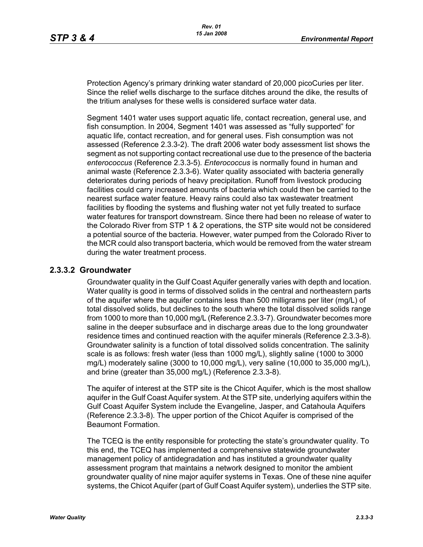Protection Agency's primary drinking water standard of 20,000 picoCuries per liter. Since the relief wells discharge to the surface ditches around the dike, the results of the tritium analyses for these wells is considered surface water data.

Segment 1401 water uses support aquatic life, contact recreation, general use, and fish consumption. In 2004, Segment 1401 was assessed as "fully supported" for aquatic life, contact recreation, and for general uses. Fish consumption was not assessed (Reference 2.3.3-2). The draft 2006 water body assessment list shows the segment as not supporting contact recreational use due to the presence of the bacteria *enterococcus* (Reference 2.3.3-5). *Enterococcus* is normally found in human and animal waste (Reference 2.3.3-6). Water quality associated with bacteria generally deteriorates during periods of heavy precipitation. Runoff from livestock producing facilities could carry increased amounts of bacteria which could then be carried to the nearest surface water feature. Heavy rains could also tax wastewater treatment facilities by flooding the systems and flushing water not yet fully treated to surface water features for transport downstream. Since there had been no release of water to the Colorado River from STP 1 & 2 operations, the STP site would not be considered a potential source of the bacteria. However, water pumped from the Colorado River to the MCR could also transport bacteria, which would be removed from the water stream during the water treatment process.

### **2.3.3.2 Groundwater**

Groundwater quality in the Gulf Coast Aquifer generally varies with depth and location. Water quality is good in terms of dissolved solids in the central and northeastern parts of the aquifer where the aquifer contains less than 500 milligrams per liter (mg/L) of total dissolved solids, but declines to the south where the total dissolved solids range from 1000 to more than 10,000 mg/L (Reference 2.3.3-7). Groundwater becomes more saline in the deeper subsurface and in discharge areas due to the long groundwater residence times and continued reaction with the aquifer minerals (Reference 2.3.3-8). Groundwater salinity is a function of total dissolved solids concentration. The salinity scale is as follows: fresh water (less than 1000 mg/L), slightly saline (1000 to 3000 mg/L) moderately saline (3000 to 10,000 mg/L), very saline (10,000 to 35,000 mg/L), and brine (greater than 35,000 mg/L) (Reference 2.3.3-8).

The aquifer of interest at the STP site is the Chicot Aquifer, which is the most shallow aquifer in the Gulf Coast Aquifer system. At the STP site, underlying aquifers within the Gulf Coast Aquifer System include the Evangeline, Jasper, and Catahoula Aquifers (Reference 2.3.3-8). The upper portion of the Chicot Aquifer is comprised of the Beaumont Formation.

The TCEQ is the entity responsible for protecting the state's groundwater quality. To this end, the TCEQ has implemented a comprehensive statewide groundwater management policy of antidegradation and has instituted a groundwater quality assessment program that maintains a network designed to monitor the ambient groundwater quality of nine major aquifer systems in Texas. One of these nine aquifer systems, the Chicot Aquifer (part of Gulf Coast Aquifer system), underlies the STP site.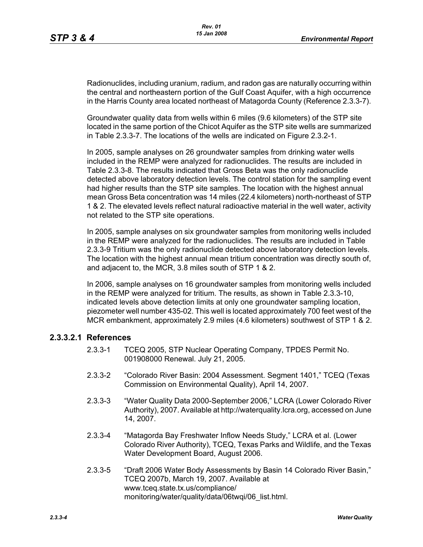Radionuclides, including uranium, radium, and radon gas are naturally occurring within the central and northeastern portion of the Gulf Coast Aquifer, with a high occurrence in the Harris County area located northeast of Matagorda County (Reference 2.3.3-7).

Groundwater quality data from wells within 6 miles (9.6 kilometers) of the STP site located in the same portion of the Chicot Aquifer as the STP site wells are summarized in Table 2.3.3-7. The locations of the wells are indicated on Figure 2.3.2-1.

In 2005, sample analyses on 26 groundwater samples from drinking water wells included in the REMP were analyzed for radionuclides. The results are included in Table 2.3.3-8. The results indicated that Gross Beta was the only radionuclide detected above laboratory detection levels. The control station for the sampling event had higher results than the STP site samples. The location with the highest annual mean Gross Beta concentration was 14 miles (22.4 kilometers) north-northeast of STP 1 & 2. The elevated levels reflect natural radioactive material in the well water, activity not related to the STP site operations.

In 2005, sample analyses on six groundwater samples from monitoring wells included in the REMP were analyzed for the radionuclides. The results are included in Table 2.3.3-9 Tritium was the only radionuclide detected above laboratory detection levels. The location with the highest annual mean tritium concentration was directly south of, and adjacent to, the MCR, 3.8 miles south of STP 1 & 2.

In 2006, sample analyses on 16 groundwater samples from monitoring wells included in the REMP were analyzed for tritium. The results, as shown in Table 2.3.3-10, indicated levels above detection limits at only one groundwater sampling location, piezometer well number 435-02. This well is located approximately 700 feet west of the MCR embankment, approximately 2.9 miles (4.6 kilometers) southwest of STP 1 & 2.

## **2.3.3.2.1 References**

- 2.3.3-1 TCEQ 2005, STP Nuclear Operating Company, TPDES Permit No. 001908000 Renewal. July 21, 2005.
- 2.3.3-2 "Colorado River Basin: 2004 Assessment. Segment 1401," TCEQ (Texas Commission on Environmental Quality), April 14, 2007.
- 2.3.3-3 "Water Quality Data 2000-September 2006," LCRA (Lower Colorado River Authority), 2007. Available at http://waterquality.lcra.org, accessed on June 14, 2007.
- 2.3.3-4 "Matagorda Bay Freshwater Inflow Needs Study," LCRA et al. (Lower Colorado River Authority), TCEQ, Texas Parks and Wildlife, and the Texas Water Development Board, August 2006.
- 2.3.3-5 "Draft 2006 Water Body Assessments by Basin 14 Colorado River Basin," TCEQ 2007b, March 19, 2007. Available at www.tceq.state.tx.us/compliance/ monitoring/water/quality/data/06twqi/06\_list.html.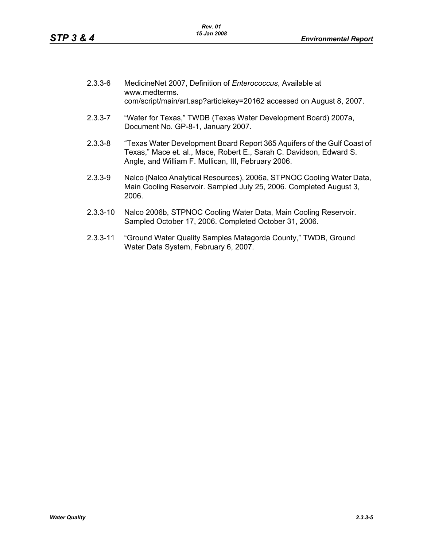| $2.3.3 - 6$ | MedicineNet 2007, Definition of Enterococcus, Available at<br>www.medterms.<br>com/script/main/art.asp?articlekey=20162 accessed on August 8, 2007.                                                   |
|-------------|-------------------------------------------------------------------------------------------------------------------------------------------------------------------------------------------------------|
| $2.3.3 - 7$ | "Water for Texas," TWDB (Texas Water Development Board) 2007a,<br>Document No. GP-8-1, January 2007.                                                                                                  |
| $2.3.3 - 8$ | "Texas Water Development Board Report 365 Aquifers of the Gulf Coast of<br>Texas," Mace et. al., Mace, Robert E., Sarah C. Davidson, Edward S.<br>Angle, and William F. Mullican, III, February 2006. |
| 2.3.3-9     | Nalco (Nalco Analytical Resources), 2006a, STPNOC Cooling Water Data,<br>Main Cooling Reservoir. Sampled July 25, 2006. Completed August 3,<br>2006.                                                  |
| 2.3.3-10    | Nalco 2006b, STPNOC Cooling Water Data, Main Cooling Reservoir.                                                                                                                                       |

- Sampled October 17, 2006. Completed October 31, 2006.
- 2.3.3-11 "Ground Water Quality Samples Matagorda County," TWDB, Ground Water Data System, February 6, 2007.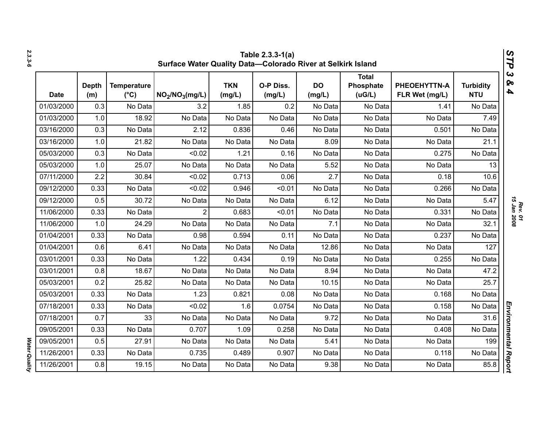| 2.3.3-6              |            | STP<br>Table 2.3.3-1(a)<br>Surface Water Quality Data-Colorado River at Selkirk Island |                                     |                                         |                      |                     |                     |                              |                                |                                |                                 |  |
|----------------------|------------|----------------------------------------------------------------------------------------|-------------------------------------|-----------------------------------------|----------------------|---------------------|---------------------|------------------------------|--------------------------------|--------------------------------|---------------------------------|--|
|                      | Date       | <b>Depth</b><br>(m)                                                                    | <b>Temperature</b><br>$(^{\circ}C)$ | NO <sub>2</sub> /NO <sub>3</sub> (mg/L) | <b>TKN</b><br>(mg/L) | O-P Diss.<br>(mg/L) | <b>DO</b><br>(mg/L) | Total<br>Phosphate<br>(UG/L) | PHEOEHYTTN-A<br>FLR Wet (mg/L) | <b>Turbidity</b><br><b>NTU</b> | $\boldsymbol{\omega}$<br>ବ<br>4 |  |
|                      | 01/03/2000 | 0.3                                                                                    | No Data                             | 3.2                                     | 1.85                 | 0.2                 | No Data             | No Data                      | 1.41                           | No Data                        |                                 |  |
|                      | 01/03/2000 | 1.0                                                                                    | 18.92                               | No Data                                 | No Data              | No Data             | No Data             | No Data                      | No Data                        | 7.49                           |                                 |  |
|                      | 03/16/2000 | 0.3                                                                                    | No Data                             | 2.12                                    | 0.836                | 0.46                | No Data             | No Data                      | 0.501                          | No Data                        |                                 |  |
|                      | 03/16/2000 | 1.0                                                                                    | 21.82                               | No Data                                 | No Data              | No Data             | 8.09                | No Data                      | No Data                        | 21.1                           |                                 |  |
|                      | 05/03/2000 | 0.3                                                                                    | No Data                             | < 0.02                                  | 1.21                 | 0.16                | No Data             | No Data                      | 0.275                          | No Data                        |                                 |  |
|                      | 05/03/2000 | 1.0                                                                                    | 25.07                               | No Data                                 | No Data              | No Data             | 5.52                | No Data                      | No Data                        | 13                             |                                 |  |
|                      | 07/11/2000 | 2.2                                                                                    | 30.84                               | < 0.02                                  | 0.713                | 0.06                | 2.7                 | No Data                      | 0.18                           | 10.6                           |                                 |  |
|                      | 09/12/2000 | 0.33                                                                                   | No Data                             | < 0.02                                  | 0.946                | < 0.01              | No Data             | No Data                      | 0.266                          | No Data                        |                                 |  |
|                      | 09/12/2000 | 0.5                                                                                    | 30.72                               | No Data                                 | No Data              | No Data             | 6.12                | No Data                      | No Data                        | 5.47                           |                                 |  |
|                      | 11/06/2000 | 0.33                                                                                   | No Data                             | $\overline{2}$                          | 0.683                | < 0.01              | No Data             | No Data                      | 0.331                          | No Data                        | <b>15 Jan 2008</b>              |  |
|                      | 11/06/2000 | 1.0                                                                                    | 24.29                               | No Data                                 | No Data              | No Data             | 7.1                 | No Data                      | No Data                        | 32.1                           |                                 |  |
|                      | 01/04/2001 | 0.33                                                                                   | No Data                             | 0.98                                    | 0.594                | 0.11                | No Data             | No Data                      | 0.237                          | No Data                        |                                 |  |
|                      | 01/04/2001 | 0.6                                                                                    | 6.41                                | No Data                                 | No Data              | No Data             | 12.86               | No Data                      | No Data                        | 127                            |                                 |  |
|                      | 03/01/2001 | 0.33                                                                                   | No Data                             | 1.22                                    | 0.434                | 0.19                | No Data             | No Data                      | 0.255                          | No Data                        |                                 |  |
|                      | 03/01/2001 | 0.8                                                                                    | 18.67                               | No Data                                 | No Data              | No Data             | 8.94                | No Data                      | No Data                        | 47.2                           |                                 |  |
|                      | 05/03/2001 | 0.2                                                                                    | 25.82                               | No Data                                 | No Data              | No Data             | 10.15               | No Data                      | No Data                        | 25.7                           |                                 |  |
|                      | 05/03/2001 | 0.33                                                                                   | No Data                             | 1.23                                    | 0.821                | 0.08                | No Data             | No Data                      | 0.168                          | No Data                        |                                 |  |
|                      | 07/18/2001 | 0.33                                                                                   | No Data                             | < 0.02                                  | 1.6                  | 0.0754              | No Data             | No Data                      | 0.158                          | No Data                        |                                 |  |
|                      | 07/18/2001 | 0.7                                                                                    | 33                                  | No Data                                 | No Data              | No Data             | 9.72                | No Data                      | No Data                        | 31.6                           |                                 |  |
|                      | 09/05/2001 | 0.33                                                                                   | No Data                             | 0.707                                   | 1.09                 | 0.258               | No Data             | No Data                      | 0.408                          | No Data                        |                                 |  |
|                      | 09/05/2001 | 0.5                                                                                    | 27.91                               | No Data                                 | No Data              | No Data             | 5.41                | No Data                      | No Data                        | 199                            |                                 |  |
|                      | 11/26/2001 | 0.33                                                                                   | No Data                             | 0.735                                   | 0.489                | 0.907               | No Data             | No Data                      | 0.118                          | No Data                        |                                 |  |
| <b>Water Quality</b> | 11/26/2001 | 0.8                                                                                    | 19.15                               | No Data                                 | No Data              | No Data             | 9.38                | No Data                      | No Data                        | 85.8                           | Environmental Report            |  |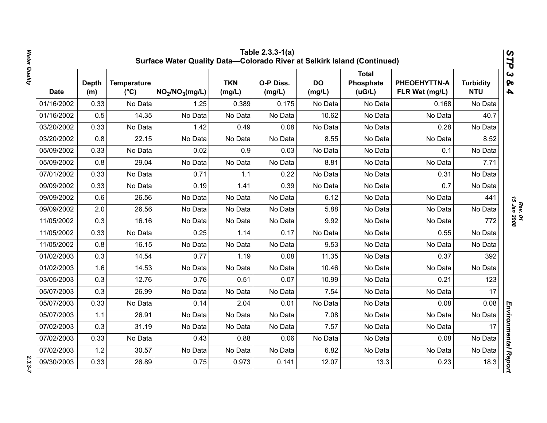|            | Table 2.3.3-1(a)<br>STP<br>Surface Water Quality Data-Colorado River at Selkirk Island (Continued) |                                     |                                         |                      |                     |                     |                                     |                                |                                |                                                  |  |  |
|------------|----------------------------------------------------------------------------------------------------|-------------------------------------|-----------------------------------------|----------------------|---------------------|---------------------|-------------------------------------|--------------------------------|--------------------------------|--------------------------------------------------|--|--|
| Date       | <b>Depth</b><br>(m)                                                                                | <b>Temperature</b><br>$(^{\circ}C)$ | NO <sub>2</sub> /NO <sub>3</sub> (mg/L) | <b>TKN</b><br>(mg/L) | O-P Diss.<br>(mg/L) | <b>DO</b><br>(mg/L) | <b>Total</b><br>Phosphate<br>(UG/L) | PHEOEHYTTN-A<br>FLR Wet (mg/L) | <b>Turbidity</b><br><b>NTU</b> | $\boldsymbol{\omega}$<br>ନ୍ତ<br>$\blacktriangle$ |  |  |
| 01/16/2002 | 0.33                                                                                               | No Data                             | 1.25                                    | 0.389                | 0.175               | No Data             | No Data                             | 0.168                          | No Data                        |                                                  |  |  |
| 01/16/2002 | 0.5                                                                                                | 14.35                               | No Data                                 | No Data              | No Data             | 10.62               | No Data                             | No Data                        | 40.7                           |                                                  |  |  |
| 03/20/2002 | 0.33                                                                                               | No Data                             | 1.42                                    | 0.49                 | 0.08                | No Data             | No Data                             | 0.28                           | No Data                        |                                                  |  |  |
| 03/20/2002 | 0.8                                                                                                | 22.15                               | No Data                                 | No Data              | No Data             | 8.55                | No Data                             | No Data                        | 8.52                           |                                                  |  |  |
| 05/09/2002 | 0.33                                                                                               | No Data                             | 0.02                                    | 0.9                  | 0.03                | No Data             | No Data                             | 0.1                            | No Data                        |                                                  |  |  |
| 05/09/2002 | 0.8                                                                                                | 29.04                               | No Data                                 | No Data              | No Data             | 8.81                | No Data                             | No Data                        | 7.71                           |                                                  |  |  |
| 07/01/2002 | 0.33                                                                                               | No Data                             | 0.71                                    | 1.1                  | 0.22                | No Data             | No Data                             | 0.31                           | No Data                        |                                                  |  |  |
| 09/09/2002 | 0.33                                                                                               | No Data                             | 0.19                                    | 1.41                 | 0.39                | No Data             | No Data                             | 0.7                            | No Data                        |                                                  |  |  |
| 09/09/2002 | 0.6                                                                                                | 26.56                               | No Data                                 | No Data              | No Data             | 6.12                | No Data                             | No Data                        | 441                            |                                                  |  |  |
| 09/09/2002 | 2.0                                                                                                | 26.56                               | No Data                                 | No Data              | No Data             | 5.88                | No Data                             | No Data                        | No Data                        | <b>15 Jan 2008</b>                               |  |  |
| 11/05/2002 | 0.3                                                                                                | 16.16                               | No Data                                 | No Data              | No Data             | 9.92                | No Data                             | No Data                        | 772                            |                                                  |  |  |
| 11/05/2002 | 0.33                                                                                               | No Data                             | 0.25                                    | 1.14                 | 0.17                | No Data             | No Data                             | 0.55                           | No Data                        |                                                  |  |  |
| 11/05/2002 | 0.8                                                                                                | 16.15                               | No Data                                 | No Data              | No Data             | 9.53                | No Data                             | No Data                        | No Data                        |                                                  |  |  |
| 01/02/2003 | 0.3                                                                                                | 14.54                               | 0.77                                    | 1.19                 | 0.08                | 11.35               | No Data                             | 0.37                           | 392                            |                                                  |  |  |
| 01/02/2003 | 1.6                                                                                                | 14.53                               | No Data                                 | No Data              | No Data             | 10.46               | No Data                             | No Data                        | No Data                        |                                                  |  |  |
| 03/05/2003 | 0.3                                                                                                | 12.76                               | 0.76                                    | 0.51                 | 0.07                | 10.99               | No Data                             | 0.21                           | 123                            |                                                  |  |  |
| 05/07/2003 | 0.3                                                                                                | 26.99                               | No Data                                 | No Data              | No Data             | 7.54                | No Data                             | No Data                        | 17                             |                                                  |  |  |
| 05/07/2003 | 0.33                                                                                               | No Data                             | 0.14                                    | 2.04                 | 0.01                | No Data             | No Data                             | 0.08                           | 0.08                           |                                                  |  |  |
| 05/07/2003 | 1.1                                                                                                | 26.91                               | No Data                                 | No Data              | No Data             | 7.08                | No Data                             | No Data                        | No Data                        |                                                  |  |  |
| 07/02/2003 | 0.3                                                                                                | 31.19                               | No Data                                 | No Data              | No Data             | 7.57                | No Data                             | No Data                        | 17                             |                                                  |  |  |
| 07/02/2003 | 0.33                                                                                               | No Data                             | 0.43                                    | 0.88                 | 0.06                | No Data             | No Data                             | 0.08                           | No Data                        |                                                  |  |  |
| 07/02/2003 | 1.2                                                                                                | 30.57                               | No Data                                 | No Data              | No Data             | 6.82                | No Data                             | No Data                        | No Data                        |                                                  |  |  |
| 09/30/2003 | 0.33                                                                                               | 26.89                               | 0.75                                    | 0.973                | 0.141               | 12.07               | 13.3                                | 0.23                           | 18.3                           | Environmental Report                             |  |  |

*Rev. 01*<br>15 Jan 2008 *15 Jan 2008*

 $2.3.3 - 7$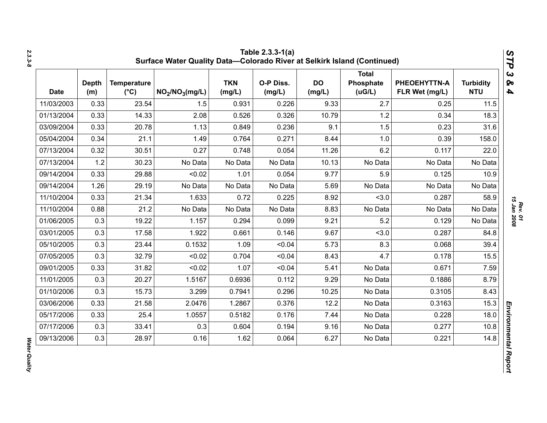| <b>Turbidity</b><br><b>NTU</b> | PHEOEHYTTN-A<br>FLR Wet (mg/L) | <b>Total</b><br>Phosphate<br>(uG/L) | <b>DO</b><br>(mg/L) | O-P Diss.<br>(mg/L) | <b>TKN</b><br>(mg/L) | NO <sub>2</sub> /NO <sub>3</sub> (mg/L) | <b>Temperature</b><br>$(^{\circ}C)$ | <b>Depth</b><br>(m) | <b>Date</b> |
|--------------------------------|--------------------------------|-------------------------------------|---------------------|---------------------|----------------------|-----------------------------------------|-------------------------------------|---------------------|-------------|
| 11.5                           | 0.25                           | 2.7                                 | 9.33                | 0.226               | 0.931                | 1.5                                     | 23.54                               | 0.33                | 11/03/2003  |
| 18.3                           | 0.34                           | 1.2                                 | 10.79               | 0.326               | 0.526                | 2.08                                    | 14.33                               | 0.33                | 01/13/2004  |
| 31.6                           | 0.23                           | 1.5                                 | 9.1                 | 0.236               | 0.849                | 1.13                                    | 20.78                               | 0.33                | 03/09/2004  |
| 158.0                          | 0.39                           | 1.0                                 | 8.44                | 0.271               | 0.764                | 1.49                                    | 21.1                                | 0.34                | 05/04/2004  |
| 22.0                           | 0.117                          | 6.2                                 | 11.26               | 0.054               | 0.748                | 0.27                                    | 30.51                               | 0.32                | 07/13/2004  |
| No Data                        | No Data                        | No Data                             | 10.13               | No Data             | No Data              | No Data                                 | 30.23                               | 1.2                 | 07/13/2004  |
| 10.9                           | 0.125                          | 5.9                                 | 9.77                | 0.054               | 1.01                 | < 0.02                                  | 29.88                               | 0.33                | 09/14/2004  |
| No Data                        | No Data                        | No Data                             | 5.69                | No Data             | No Data              | No Data                                 | 29.19                               | 1.26                | 09/14/2004  |
| 58.9                           | 0.287                          | < 3.0                               | 8.92                | 0.225               | 0.72                 | 1.633                                   | 21.34                               | 0.33                | 11/10/2004  |
| No Data                        | No Data                        | No Data                             | 8.83                | No Data             | No Data              | No Data                                 | 21.2                                | 0.88                | 11/10/2004  |
| No Data                        | 0.129                          | 5.2                                 | 9.21                | 0.099               | 0.294                | 1.157                                   | 19.22                               | 0.3                 | 01/06/2005  |
| 84.8                           | 0.287                          | < 3.0                               | 9.67                | 0.146               | 0.661                | 1.922                                   | 17.58                               | 0.3                 | 03/01/2005  |
| 39.4                           | 0.068                          | 8.3                                 | 5.73                | < 0.04              | 1.09                 | 0.1532                                  | 23.44                               | 0.3                 | 05/10/2005  |
| 15.5                           | 0.178                          | 4.7                                 | 8.43                | < 0.04              | 0.704                | < 0.02                                  | 32.79                               | 0.3                 | 07/05/2005  |
| 7.59                           | 0.671                          | No Data                             | 5.41                | < 0.04              | 1.07                 | < 0.02                                  | 31.82                               | 0.33                | 09/01/2005  |
| 8.79                           | 0.1886                         | No Data                             | 9.29                | 0.112               | 0.6936               | 1.5167                                  | 20.27                               | 0.3                 | 11/01/2005  |
| 8.43                           | 0.3105                         | No Data                             | 10.25               | 0.296               | 0.7941               | 3.299                                   | 15.73                               | 0.3                 | 01/10/2006  |
| 15.3                           | 0.3163                         | No Data                             | 12.2                | 0.376               | 1.2867               | 2.0476                                  | 21.58                               | 0.33                | 03/06/2006  |
| 18.0                           | 0.228                          | No Data                             | 7.44                | 0.176               | 0.5182               | 1.0557                                  | 25.4                                | 0.33                | 05/17/2006  |
| 10.8                           | 0.277                          | No Data                             | 9.16                | 0.194               | 0.604                | 0.3                                     | 33.41                               | 0.3                 | 07/17/2006  |
| 14.8                           | 0.221                          | No Data                             | 6.27                | 0.064               | 1.62                 | 0.16                                    | 28.97                               | 0.3                 | 09/13/2006  |

**Water Quality** *Water Quality*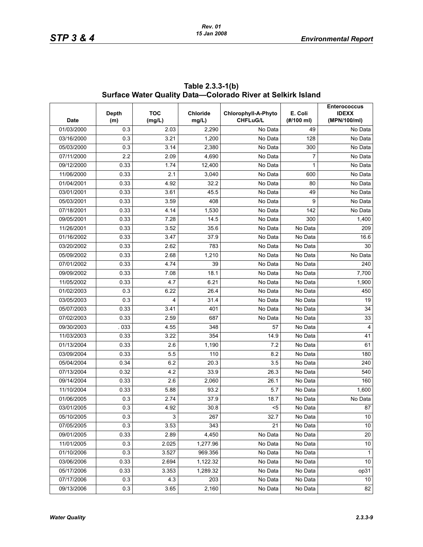| <b>Date</b> | Depth<br>(m) | <b>TOC</b><br>(mg/L) | <b>Chloride</b><br>mg/L) | Chlorophyll-A-Phyto<br><b>CHFLuG/L</b> | E. Coli<br>(#/100 ml) | <b>Enterococcus</b><br><b>IDEXX</b><br>(MPN/100/ml) |
|-------------|--------------|----------------------|--------------------------|----------------------------------------|-----------------------|-----------------------------------------------------|
| 01/03/2000  | 0.3          | 2.03                 | 2,290                    | No Data                                | 49                    | No Data                                             |
| 03/16/2000  | 0.3          | 3.21                 | 1,200                    | No Data                                | 128                   | $\overline{No}$ Data                                |
| 05/03/2000  | 0.3          | 3.14                 | 2,380                    | No Data                                | 300                   | No Data                                             |
| 07/11/2000  | 2.2          | 2.09                 | 4,690                    | No Data                                | 7                     | No Data                                             |
| 09/12/2000  | 0.33         | 1.74                 | 12,400                   | No Data                                | 1                     | No Data                                             |
| 11/06/2000  | 0.33         | 2.1                  | 3,040                    | No Data                                | 600                   | No Data                                             |
| 01/04/2001  | 0.33         | 4.92                 | 32.2                     | No Data                                | 80                    | No Data                                             |
| 03/01/2001  | 0.33         | 3.61                 | 45.5                     | No Data                                | 49                    | No Data                                             |
| 05/03/2001  | 0.33         | 3.59                 | 408                      | No Data                                | 9                     | No Data                                             |
| 07/18/2001  | 0.33         | 4.14                 | 1,530                    | No Data                                | 142                   | No Data                                             |
| 09/05/2001  | 0.33         | 7.28                 | 14.5                     | No Data                                | 300                   | 1,400                                               |
| 11/26/2001  | 0.33         | 3.52                 | 35.6                     | No Data                                | No Data               | 209                                                 |
| 01/16/2002  | 0.33         | 3.47                 | 37.9                     | No Data                                | No Data               | 16.6                                                |
| 03/20/2002  | 0.33         | 2.62                 | 783                      | No Data                                | No Data               | 30                                                  |
| 05/09/2002  | 0.33         | 2.68                 | 1,210                    | No Data                                | No Data               | No Data                                             |
| 07/01/2002  | 0.33         | 4.74                 | 39                       | No Data                                | No Data               | 240                                                 |
| 09/09/2002  | 0.33         | 7.08                 | 18.1                     | $\overline{N}$ o Data                  | No Data               | 7,700                                               |
| 11/05/2002  | 0.33         | 4.7                  | 6.21                     | No Data                                | No Data               | 1,900                                               |
| 01/02/2003  | 0.3          | 6.22                 | 26.4                     | No Data                                | No Data               | 450                                                 |
| 03/05/2003  | 0.3          | 4                    | 31.4                     | No Data                                | No Data               | 19                                                  |
| 05/07/2003  | 0.33         | 3.41                 | 401                      | No Data                                | No Data               | 34                                                  |
| 07/02/2003  | 0.33         | 2.59                 | 687                      | No Data                                | No Data               | 33                                                  |
| 09/30/2003  | .033         | 4.55                 | 348                      | 57                                     | No Data               | $\overline{4}$                                      |
| 11/03/2003  | 0.33         | 3.22                 | 354                      | 14.9                                   | No Data               | 41                                                  |
| 01/13/2004  | 0.33         | 2.6                  | 1,190                    | 7.2                                    | No Data               | 61                                                  |
| 03/09/2004  | 0.33         | 5.5                  | 110                      | 8.2                                    | No Data               | 180                                                 |
| 05/04/2004  | 0.34         | 6.2                  | 20.3                     | 3.5                                    | No Data               | 240                                                 |
| 07/13/2004  | 0.32         | 4.2                  | 33.9                     | 26.3                                   | No Data               | 540                                                 |
| 09/14/2004  | 0.33         | 2.6                  | 2,060                    | 26.1                                   | No Data               | 160                                                 |
| 11/10/2004  | 0.33         | 5.88                 | 93.2                     | 5.7                                    | No Data               | 1,600                                               |
| 01/06/2005  | 0.3          | 2.74                 | 37.9                     | 18.7                                   | No Data               | No Data                                             |
| 03/01/2005  | 0.3          | 4.92                 | 30.8                     | $5$                                    | No Data               | ${\bf 87}$                                          |
| 05/10/2005  | 0.3          | 3                    | 267                      | 32.7                                   | No Data               | 10                                                  |
| 07/05/2005  | 0.3          | 3.53                 | 343                      | 21                                     | No Data               | 10                                                  |
| 09/01/2005  | 0.33         | 2.89                 | 4,450                    | No Data                                | No Data               | 20                                                  |
| 11/01/2005  | 0.3          | 2.025                | 1,277.96                 | No Data                                | No Data               | 10                                                  |
| 01/10/2006  | 0.3          | 3.527                | 969.356                  | No Data                                | No Data               | $\mathbf{1}$                                        |
| 03/06/2006  | 0.33         | 2.694                | 1,122.32                 | No Data                                | No Data               | 10                                                  |
| 05/17/2006  | 0.33         | 3.353                | 1,289.32                 | No Data                                | No Data               | op31                                                |
| 07/17/2006  | 0.3          | 4.3                  | 203                      | No Data                                | No Data               | 10 <sup>°</sup>                                     |
| 09/13/2006  | 0.3          | 3.65                 | 2,160                    | No Data                                | No Data               | 82                                                  |

**Table 2.3.3-1(b) Surface Water Quality Data—Colorado River at Selkirk Island**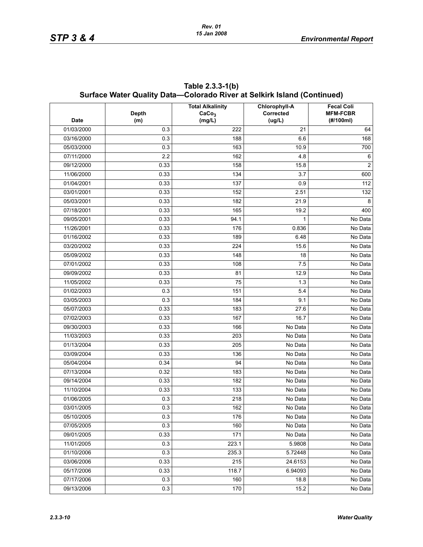|             | Surface Water Quality Data-Colorado River at Selkirk Island (Continued) |                                                        |                                             |                                                   |  |  |  |  |  |  |
|-------------|-------------------------------------------------------------------------|--------------------------------------------------------|---------------------------------------------|---------------------------------------------------|--|--|--|--|--|--|
| <b>Date</b> | <b>Depth</b><br>(m)                                                     | <b>Total Alkalinity</b><br>CaCo <sub>3</sub><br>(mg/L) | Chlorophyll-A<br><b>Corrected</b><br>(ug/L) | <b>Fecal Coli</b><br><b>MFM-FCBR</b><br>(#/100ml) |  |  |  |  |  |  |
| 01/03/2000  | 0.3                                                                     | 222                                                    | 21                                          | 64                                                |  |  |  |  |  |  |
| 03/16/2000  | 0.3                                                                     | 188                                                    | 6.6                                         | 168                                               |  |  |  |  |  |  |
| 05/03/2000  | 0.3                                                                     | 163                                                    | 10.9                                        | 700                                               |  |  |  |  |  |  |
| 07/11/2000  | 2.2                                                                     | 162                                                    | 4.8                                         | 6                                                 |  |  |  |  |  |  |
| 09/12/2000  | 0.33                                                                    | 158                                                    | 15.8                                        | $\overline{c}$                                    |  |  |  |  |  |  |
| 11/06/2000  | 0.33                                                                    | 134                                                    | 3.7                                         | 600                                               |  |  |  |  |  |  |
| 01/04/2001  | 0.33                                                                    | 137                                                    | 0.9                                         | 112                                               |  |  |  |  |  |  |
| 03/01/2001  | 0.33                                                                    | 152                                                    | 2.51                                        | 132                                               |  |  |  |  |  |  |
| 05/03/2001  | 0.33                                                                    | 182                                                    | 21.9                                        | 8                                                 |  |  |  |  |  |  |
| 07/18/2001  | 0.33                                                                    | 165                                                    | 19.2                                        | 400                                               |  |  |  |  |  |  |
| 09/05/2001  | 0.33                                                                    | 94.1                                                   | 1                                           | No Data                                           |  |  |  |  |  |  |
| 11/26/2001  | 0.33                                                                    | 176                                                    | 0.836                                       | No Data                                           |  |  |  |  |  |  |
| 01/16/2002  | 0.33                                                                    | 189                                                    | 6.48                                        | No Data                                           |  |  |  |  |  |  |
| 03/20/2002  | 0.33                                                                    | 224                                                    | 15.6                                        | No Data                                           |  |  |  |  |  |  |
| 05/09/2002  | 0.33                                                                    | 148                                                    | 18                                          | No Data                                           |  |  |  |  |  |  |
| 07/01/2002  | 0.33                                                                    | 108                                                    | 7.5                                         | No Data                                           |  |  |  |  |  |  |
| 09/09/2002  | 0.33                                                                    | 81                                                     | 12.9                                        | No Data                                           |  |  |  |  |  |  |
| 11/05/2002  | 0.33                                                                    | 75                                                     | 1.3                                         | No Data                                           |  |  |  |  |  |  |
| 01/02/2003  | 0.3                                                                     | 151                                                    | 5.4                                         | No Data                                           |  |  |  |  |  |  |
| 03/05/2003  | 0.3                                                                     | 184                                                    | 9.1                                         | No Data                                           |  |  |  |  |  |  |
| 05/07/2003  | 0.33                                                                    | 183                                                    | 27.6                                        | No Data                                           |  |  |  |  |  |  |
| 07/02/2003  | 0.33                                                                    | 167                                                    | 16.7                                        | No Data                                           |  |  |  |  |  |  |
| 09/30/2003  | 0.33                                                                    | 166                                                    | No Data                                     | No Data                                           |  |  |  |  |  |  |
| 11/03/2003  | 0.33                                                                    | 203                                                    | No Data                                     | No Data                                           |  |  |  |  |  |  |
| 01/13/2004  | 0.33                                                                    | 205                                                    | No Data                                     | No Data                                           |  |  |  |  |  |  |
| 03/09/2004  | 0.33                                                                    | 136                                                    | No Data                                     | No Data                                           |  |  |  |  |  |  |
| 05/04/2004  | 0.34                                                                    | 94                                                     | No Data                                     | No Data                                           |  |  |  |  |  |  |
| 07/13/2004  | 0.32                                                                    | 183                                                    | No Data                                     | No Data                                           |  |  |  |  |  |  |
| 09/14/2004  | 0.33                                                                    | 182                                                    | No Data                                     | No Data                                           |  |  |  |  |  |  |
| 11/10/2004  | 0.33                                                                    | 133                                                    | No Data                                     | No Data                                           |  |  |  |  |  |  |
| 01/06/2005  | 0.3                                                                     | 218                                                    | No Data                                     | No Data                                           |  |  |  |  |  |  |
| 03/01/2005  | 0.3                                                                     | 162                                                    | No Data                                     | No Data                                           |  |  |  |  |  |  |
| 05/10/2005  | 0.3                                                                     | 176                                                    | No Data                                     | No Data                                           |  |  |  |  |  |  |
| 07/05/2005  | 0.3                                                                     | 160                                                    | No Data                                     | No Data                                           |  |  |  |  |  |  |
| 09/01/2005  | 0.33                                                                    | 171                                                    | No Data                                     | No Data                                           |  |  |  |  |  |  |
| 11/01/2005  | 0.3                                                                     | 223.1                                                  | 5.9808                                      | No Data                                           |  |  |  |  |  |  |
| 01/10/2006  | 0.3                                                                     | 235.3                                                  | 5.72448                                     | No Data                                           |  |  |  |  |  |  |
| 03/06/2006  | 0.33                                                                    | 215                                                    | 24.6153                                     | No Data                                           |  |  |  |  |  |  |
| 05/17/2006  | 0.33                                                                    | 118.7                                                  | 6.94093                                     | No Data                                           |  |  |  |  |  |  |
| 07/17/2006  | 0.3                                                                     | 160                                                    | 18.8                                        | No Data                                           |  |  |  |  |  |  |
| 09/13/2006  | 0.3                                                                     | 170                                                    | 15.2                                        | No Data                                           |  |  |  |  |  |  |

**Table 2.3.3-1(b)**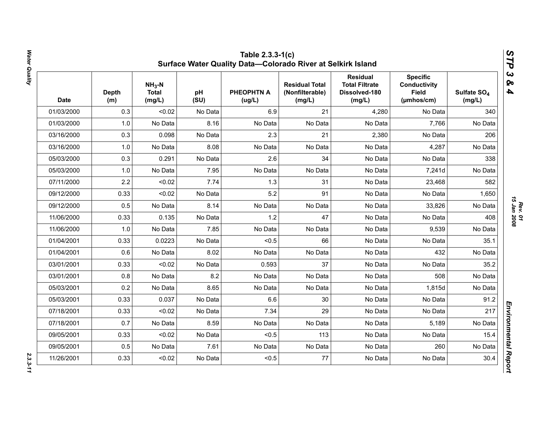|            | <b>Depth</b><br>(m) | $NH3-N$<br><b>Total</b><br>(mg/L) | рH<br>(SU) | PHEOPHTN A<br>(ug/L) | <b>Residual Total</b><br>(Nonfilterable)<br>(mg/L) | <b>Residual</b><br><b>Total Filtrate</b><br>Dissolved-180<br>(mg/L) | <b>Specific</b><br><b>Conductivity</b><br><b>Field</b><br>(µmhos/cm) | Sulfate SO <sub>4</sub><br>(mg/L) |
|------------|---------------------|-----------------------------------|------------|----------------------|----------------------------------------------------|---------------------------------------------------------------------|----------------------------------------------------------------------|-----------------------------------|
| 01/03/2000 | 0.3                 | < 0.02                            | No Data    | 6.9                  | 21                                                 | 4,280                                                               | No Data                                                              | 340                               |
| 01/03/2000 | 1.0                 | No Data                           | 8.16       | No Data              | No Data                                            | No Data                                                             | 7,766                                                                | No Data                           |
| 03/16/2000 | 0.3                 | 0.098                             | No Data    | 2.3                  | 21                                                 | 2,380                                                               | No Data                                                              | 206                               |
| 03/16/2000 | 1.0                 | No Data                           | 8.08       | No Data              | No Data                                            | No Data                                                             | 4,287                                                                | No Data                           |
| 05/03/2000 | 0.3                 | 0.291                             | No Data    | 2.6                  | 34                                                 | No Data                                                             | No Data                                                              | 338                               |
| 05/03/2000 | 1.0                 | No Data                           | 7.95       | No Data              | No Data                                            | No Data                                                             | 7,241d                                                               | No Data                           |
| 07/11/2000 | 2.2                 | < 0.02                            | 7.74       | 1.3                  | 31                                                 | No Data                                                             | 23,468                                                               | 582                               |
| 09/12/2000 | 0.33                | < 0.02                            | No Data    | 5.2                  | 91                                                 | No Data                                                             | No Data                                                              | 1,650                             |
| 09/12/2000 | 0.5                 | No Data                           | 8.14       | No Data              | No Data                                            | No Data                                                             | 33,826                                                               | No Data                           |
| 11/06/2000 | 0.33                | 0.135                             | No Data    | 1.2                  | 47                                                 | No Data                                                             | No Data                                                              | 408                               |
| 11/06/2000 | 1.0                 | No Data                           | 7.85       | No Data              | No Data                                            | No Data                                                             | 9,539                                                                | No Data                           |
| 01/04/2001 | 0.33                | 0.0223                            | No Data    | < 0.5                | 66                                                 | No Data                                                             | No Data                                                              | 35.1                              |
| 01/04/2001 | 0.6                 | No Data                           | 8.02       | No Data              | No Data                                            | No Data                                                             | 432                                                                  | No Data                           |
| 03/01/2001 | 0.33                | < 0.02                            | No Data    | 0.593                | 37                                                 | No Data                                                             | No Data                                                              | 35.2                              |
| 03/01/2001 | 0.8                 | No Data                           | 8.2        | No Data              | No Data                                            | No Data                                                             | 508                                                                  | No Data                           |
| 05/03/2001 | 0.2                 | No Data                           | 8.65       | No Data              | No Data                                            | No Data                                                             | 1,815d                                                               | No Data                           |
| 05/03/2001 | 0.33                | 0.037                             | No Data    | 6.6                  | 30                                                 | No Data                                                             | No Data                                                              | 91.2                              |
| 07/18/2001 | 0.33                | < 0.02                            | No Data    | 7.34                 | 29                                                 | No Data                                                             | No Data                                                              | 217                               |
| 07/18/2001 | 0.7                 | No Data                           | 8.59       | No Data              | No Data                                            | No Data                                                             | 5,189                                                                | No Data                           |
| 09/05/2001 | 0.33                | < 0.02                            | No Data    | < 0.5                | 113                                                | No Data                                                             | No Data                                                              | 15.4                              |
| 09/05/2001 | 0.5                 | No Data                           | 7.61       | No Data              | No Data                                            | No Data                                                             | 260                                                                  | No Data                           |
| 11/26/2001 | 0.33                | < 0.02                            | No Data    | < 0.5                | 77                                                 | No Data                                                             | No Data                                                              | 30.4                              |

Water Quality *Water Quality 2.3.3-11*

*Rev. 01*<br>15 Jan 2008 *15 Jan 2008*

 $2.3.3 - 11$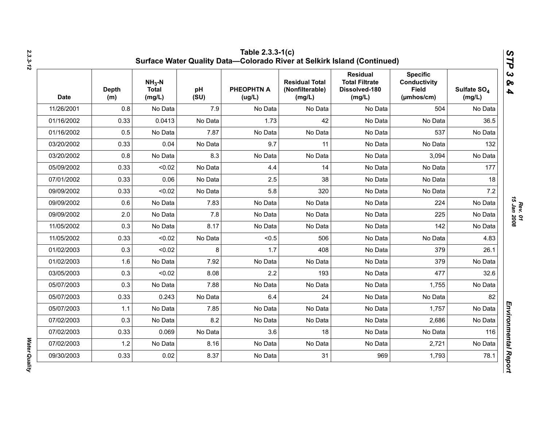| <b>Date</b> | <b>Depth</b><br>(m) | $NH3$ -N<br><b>Total</b><br>(mg/L) | pH<br>(SU) | <b>PHEOPHTN A</b><br>(ug/L) | <b>Residual Total</b><br>(Nonfilterable)<br>(mg/L) | <b>Residual</b><br><b>Total Filtrate</b><br>Dissolved-180<br>(mg/L) | <b>Specific</b><br><b>Conductivity</b><br><b>Field</b><br>(µmhos/cm) | Sulfate SO <sub>4</sub><br>(mg/L) |
|-------------|---------------------|------------------------------------|------------|-----------------------------|----------------------------------------------------|---------------------------------------------------------------------|----------------------------------------------------------------------|-----------------------------------|
| 11/26/2001  | 0.8                 | No Data                            | 7.9        | No Data                     | No Data                                            | No Data                                                             | 504                                                                  | No Data                           |
| 01/16/2002  | 0.33                | 0.0413                             | No Data    | 1.73                        | 42                                                 | No Data                                                             | No Data                                                              | 36.5                              |
| 01/16/2002  | 0.5                 | No Data                            | 7.87       | No Data                     | No Data                                            | No Data                                                             | 537                                                                  | No Data                           |
| 03/20/2002  | 0.33                | 0.04                               | No Data    | 9.7                         | 11                                                 | No Data                                                             | No Data                                                              | 132                               |
| 03/20/2002  | 0.8                 | No Data                            | 8.3        | No Data                     | No Data                                            | No Data                                                             | 3,094                                                                | No Data                           |
| 05/09/2002  | 0.33                | < 0.02                             | No Data    | 4.4                         | 14                                                 | No Data                                                             | No Data                                                              | 177                               |
| 07/01/2002  | 0.33                | 0.06                               | No Data    | 2.5                         | 38                                                 | No Data                                                             | No Data                                                              | 18                                |
| 09/09/2002  | 0.33                | < 0.02                             | No Data    | 5.8                         | 320                                                | No Data                                                             | No Data                                                              | 7.2                               |
| 09/09/2002  | 0.6                 | No Data                            | 7.83       | No Data                     | No Data                                            | No Data                                                             | 224                                                                  | No Data                           |
| 09/09/2002  | 2.0                 | No Data                            | 7.8        | No Data                     | No Data                                            | No Data                                                             | 225                                                                  | No Data                           |
| 11/05/2002  | 0.3                 | No Data                            | 8.17       | No Data                     | No Data                                            | No Data                                                             | 142                                                                  | No Data                           |
| 11/05/2002  | 0.33                | < 0.02                             | No Data    | < 0.5                       | 506                                                | No Data                                                             | No Data                                                              | 4.83                              |
| 01/02/2003  | 0.3                 | < 0.02                             | 8          | 1.7                         | 408                                                | No Data                                                             | 379                                                                  | 26.1                              |
| 01/02/2003  | 1.6                 | No Data                            | 7.92       | No Data                     | No Data                                            | No Data                                                             | 379                                                                  | No Data                           |
| 03/05/2003  | 0.3                 | < 0.02                             | 8.08       | 2.2                         | 193                                                | No Data                                                             | 477                                                                  | 32.6                              |
| 05/07/2003  | 0.3                 | No Data                            | 7.88       | No Data                     | No Data                                            | No Data                                                             | 1,755                                                                | No Data                           |
| 05/07/2003  | 0.33                | 0.243                              | No Data    | 6.4                         | 24                                                 | No Data                                                             | No Data                                                              | 82                                |
| 05/07/2003  | 1.1                 | No Data                            | 7.85       | No Data                     | No Data                                            | No Data                                                             | 1,757                                                                | No Data                           |
| 07/02/2003  | 0.3                 | No Data                            | 8.2        | No Data                     | No Data                                            | No Data                                                             | 2,686                                                                | No Data                           |
| 07/02/2003  | 0.33                | 0.069                              | No Data    | 3.6                         | 18                                                 | No Data                                                             | No Data                                                              | 116                               |
| 07/02/2003  | 1.2                 | No Data                            | 8.16       | No Data                     | No Data                                            | No Data                                                             | 2,721                                                                | No Data                           |
| 09/30/2003  | 0.33                | 0.02                               | 8.37       | No Data                     | 31                                                 | 969                                                                 | 1,793                                                                | 78.1                              |

**Water Quality**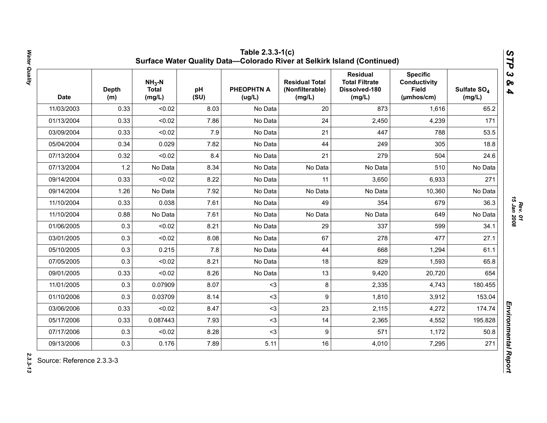| <b>Date</b> | <b>Depth</b><br>(m) | $NH3-N$<br><b>Total</b><br>(mg/L) | pH<br>(SU) | <b>PHEOPHTN A</b><br>(ug/L) | <b>Residual Total</b><br>(Nonfilterable)<br>(mg/L) | <b>Residual</b><br><b>Total Filtrate</b><br>Dissolved-180<br>(mg/L) | <b>Specific</b><br><b>Conductivity</b><br><b>Field</b><br>(µmhos/cm) | Sulfate SO <sub>4</sub><br>(mg/L) |
|-------------|---------------------|-----------------------------------|------------|-----------------------------|----------------------------------------------------|---------------------------------------------------------------------|----------------------------------------------------------------------|-----------------------------------|
| 11/03/2003  | 0.33                | < 0.02                            | 8.03       | No Data                     | 20                                                 | 873                                                                 | 1,616                                                                | 65.2                              |
| 01/13/2004  | 0.33                | < 0.02                            | 7.86       | No Data                     | 24                                                 | 2,450                                                               | 4,239                                                                | 171                               |
| 03/09/2004  | 0.33                | < 0.02                            | 7.9        | No Data                     | 21                                                 | 447                                                                 | 788                                                                  | 53.5                              |
| 05/04/2004  | 0.34                | 0.029                             | 7.82       | No Data                     | 44                                                 | 249                                                                 | 305                                                                  | 18.8                              |
| 07/13/2004  | 0.32                | < 0.02                            | 8.4        | No Data                     | 21                                                 | 279                                                                 | 504                                                                  | 24.6                              |
| 07/13/2004  | 1.2                 | No Data                           | 8.34       | No Data                     | No Data                                            | No Data                                                             | 510                                                                  | No Data                           |
| 09/14/2004  | 0.33                | < 0.02                            | 8.22       | No Data                     | 11                                                 | 3,650                                                               | 6,933                                                                | 271                               |
| 09/14/2004  | 1.26                | No Data                           | 7.92       | No Data                     | No Data                                            | No Data                                                             | 10,360                                                               | No Data                           |
| 11/10/2004  | 0.33                | 0.038                             | 7.61       | No Data                     | 49                                                 | 354                                                                 | 679                                                                  | 36.3                              |
| 11/10/2004  | 0.88                | No Data                           | 7.61       | No Data                     | No Data                                            | No Data                                                             | 649                                                                  | No Data                           |
| 01/06/2005  | 0.3                 | < 0.02                            | 8.21       | No Data                     | 29                                                 | 337                                                                 | 599                                                                  | 34.1                              |
| 03/01/2005  | 0.3                 | < 0.02                            | 8.08       | No Data                     | 67                                                 | 278                                                                 | 477                                                                  | 27.1                              |
| 05/10/2005  | 0.3                 | 0.215                             | 7.8        | No Data                     | 44                                                 | 668                                                                 | 1,294                                                                | 61.1                              |
| 07/05/2005  | 0.3                 | < 0.02                            | 8.21       | No Data                     | 18                                                 | 829                                                                 | 1,593                                                                | 65.8                              |
| 09/01/2005  | 0.33                | < 0.02                            | 8.26       | No Data                     | 13                                                 | 9,420                                                               | 20,720                                                               | 654                               |
| 11/01/2005  | 0.3                 | 0.07909                           | 8.07       | $3$                         | 8                                                  | 2,335                                                               | 4,743                                                                | 180.455                           |
| 01/10/2006  | 0.3                 | 0.03709                           | 8.14       | $3$                         | 9                                                  | 1,810                                                               | 3,912                                                                | 153.04                            |
| 03/06/2006  | 0.33                | < 0.02                            | 8.47       | $3$                         | 23                                                 | 2,115                                                               | 4,272                                                                | 174.74                            |
| 05/17/2006  | 0.33                | 0.087443                          | 7.93       | $3$                         | 14                                                 | 2,365                                                               | 4,552                                                                | 195.828                           |
| 07/17/2006  | 0.3                 | < 0.02                            | 8.28       | $3$                         | 9                                                  | 571                                                                 | 1,172                                                                | 50.8                              |
| 09/13/2006  | 0.3                 | 0.176                             | 7.89       | 5.11                        | 16                                                 | 4,010                                                               | 7,295                                                                | 271                               |

2.3.3-13

*Rev. 01*<br>15 Jan 2008 *15 Jan 2008*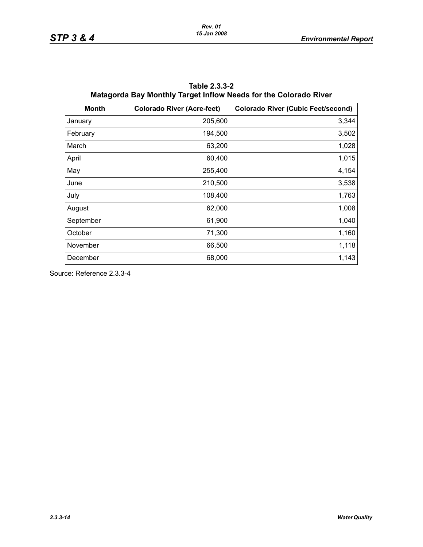| <b>Month</b> | <b>Colorado River (Acre-feet)</b> | <b>Colorado River (Cubic Feet/second)</b> |
|--------------|-----------------------------------|-------------------------------------------|
| January      | 205,600                           | 3,344                                     |
| February     | 194,500                           | 3,502                                     |
| March        | 63,200                            | 1,028                                     |
| April        | 60,400                            | 1,015                                     |
| May          | 255,400                           | 4,154                                     |
| June         | 210,500                           | 3,538                                     |
| July         | 108,400                           | 1,763                                     |
| August       | 62,000                            | 1,008                                     |
| September    | 61,900                            | 1,040                                     |
| October      | 71,300                            | 1,160                                     |
| November     | 66,500                            | 1,118                                     |
| December     | 68,000                            | 1,143                                     |

**Table 2.3.3-2 Matagorda Bay Monthly Target Inflow Needs for the Colorado River**

Source: Reference 2.3.3-4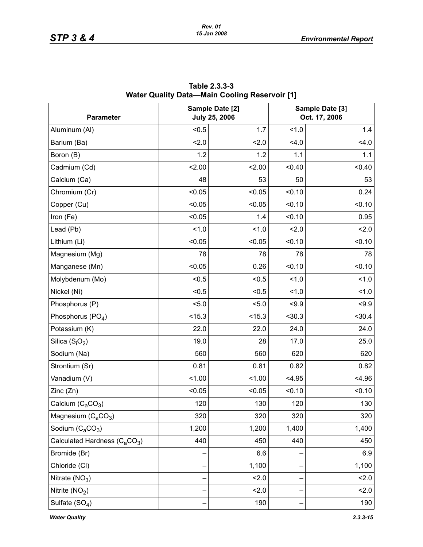| <b>Parameter</b>                         |        | Sample Date [2]<br><b>July 25, 2006</b> |        | Sample Date [3]<br>Oct. 17, 2006 |
|------------------------------------------|--------|-----------------------------------------|--------|----------------------------------|
| Aluminum (AI)                            | < 0.5  | 1.7                                     | 1.0    | 1.4                              |
| Barium (Ba)                              | 2.0    | 2.0                                     | 4.0    | 4.0                              |
| Boron (B)                                | 1.2    | 1.2                                     | 1.1    | 1.1                              |
| Cadmium (Cd)                             | 2.00   | 2.00                                    | < 0.40 | < 0.40                           |
| Calcium (Ca)                             | 48     | 53                                      | 50     | 53                               |
| Chromium (Cr)                            | < 0.05 | < 0.05                                  | < 0.10 | 0.24                             |
| Copper (Cu)                              | < 0.05 | < 0.05                                  | < 0.10 | < 0.10                           |
| Iron (Fe)                                | < 0.05 | 1.4                                     | < 0.10 | 0.95                             |
| Lead (Pb)                                | 1.0    | 1.0                                     | 2.0    | 2.0                              |
| Lithium (Li)                             | < 0.05 | < 0.05                                  | < 0.10 | < 0.10                           |
| Magnesium (Mg)                           | 78     | 78                                      | 78     | 78                               |
| Manganese (Mn)                           | < 0.05 | 0.26                                    | < 0.10 | < 0.10                           |
| Molybdenum (Mo)                          | < 0.5  | < 0.5                                   | 1.0    | 1.0                              |
| Nickel (Ni)                              | < 0.5  | < 0.5                                   | 1.0    | 1.0                              |
| Phosphorus (P)                           | < 5.0  | 5.0                                     | < 9.9  | < 9.9                            |
| Phosphorus (PO <sub>4</sub> )            | < 15.3 | < 15.3                                  | < 30.3 | < 30.4                           |
| Potassium (K)                            | 22.0   | 22.0                                    | 24.0   | 24.0                             |
| Silica $(S_iO_2)$                        | 19.0   | 28                                      | 17.0   | 25.0                             |
| Sodium (Na)                              | 560    | 560                                     | 620    | 620                              |
| Strontium (Sr)                           | 0.81   | 0.81                                    | 0.82   | 0.82                             |
| Vanadium (V)                             | 1.00   | 1.00                                    | < 4.95 | < 4.96                           |
| Zinc (Zn)                                | < 0.05 | < 0.05                                  | < 0.10 | < 0.10                           |
| Calcium $(C_aCO_3)$                      | 120    | 130                                     | 120    | 130                              |
| Magnesium $(C_aCO_3)$                    | 320    | 320                                     | 320    | 320                              |
| Sodium (C <sub>a</sub> CO <sub>3</sub> ) | 1,200  | 1,200                                   | 1,400  | 1,400                            |
| Calculated Hardness $(C_4CO_3)$          | 440    | 450                                     | 440    | 450                              |
| Bromide (Br)                             |        | 6.6                                     |        | 6.9                              |
| Chloride (CI)                            |        | 1,100                                   |        | 1,100                            |
| Nitrate $(NO3)$                          |        | 2.0                                     |        | 2.0                              |
| Nitrite $(NO2)$                          |        | 2.0                                     |        | 2.0                              |
| Sulfate $(SO4)$                          |        | 190                                     |        | 190                              |

**Table 2.3.3-3 Water Quality Data—Main Cooling Reservoir [1]**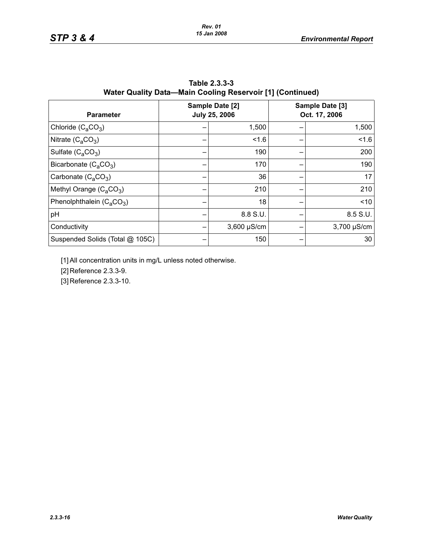| <b>Parameter</b>                | Sample Date [2]<br><b>July 25, 2006</b> | Sample Date [3]<br>Oct. 17, 2006 |
|---------------------------------|-----------------------------------------|----------------------------------|
| Chloride $(C_4CO_3)$            | 1,500                                   | 1,500                            |
| Nitrate $(C_2CO_3)$             | 1.6                                     | 1.6                              |
| Sulfate $(C_4CO_3)$             | 190                                     | 200                              |
| Bicarbonate $(C_4CO_3)$         | 170                                     | 190                              |
| Carbonate $(C_4CO_3)$           | 36                                      | 17                               |
| Methyl Orange $(C_4CO_3)$       | 210                                     | 210                              |
| Phenolphthalein $(C_4CO_3)$     | 18                                      | ~10                              |
| pH                              | 8.8 S.U.                                | 8.5 S.U.                         |
| Conductivity                    | $3,600 \mu S/cm$                        | $3,700 \mu S/cm$                 |
| Suspended Solids (Total @ 105C) | 150                                     | 30                               |

| Table 2.3.3-3                                             |  |
|-----------------------------------------------------------|--|
| Water Quality Data—Main Cooling Reservoir [1] (Continued) |  |

[1] All concentration units in mg/L unless noted otherwise.

[2] Reference 2.3.3-9.

[3] Reference 2.3.3-10.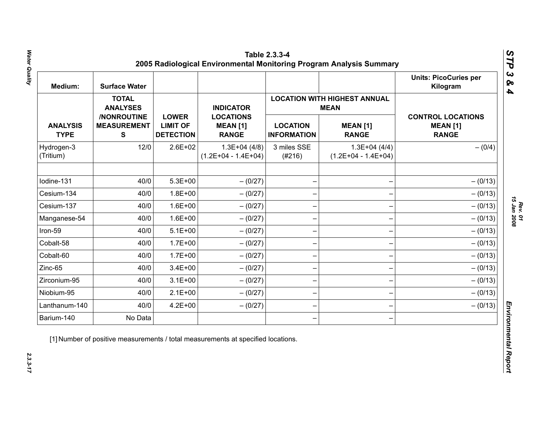| Medium:                        | <b>Surface Water</b>                   |                                                     |                                                     |                                       |                                                    | <b>Units: PicoCuries per</b><br>Kilogram                    |
|--------------------------------|----------------------------------------|-----------------------------------------------------|-----------------------------------------------------|---------------------------------------|----------------------------------------------------|-------------------------------------------------------------|
|                                | <b>TOTAL</b><br><b>ANALYSES</b>        |                                                     | <b>INDICATOR</b>                                    |                                       | <b>LOCATION WITH HIGHEST ANNUAL</b><br><b>MEAN</b> |                                                             |
| <b>ANALYSIS</b><br><b>TYPE</b> | /NONROUTINE<br><b>MEASUREMENT</b><br>S | <b>LOWER</b><br><b>LIMIT OF</b><br><b>DETECTION</b> | <b>LOCATIONS</b><br><b>MEAN [1]</b><br><b>RANGE</b> | <b>LOCATION</b><br><b>INFORMATION</b> | <b>MEAN [1]</b><br><b>RANGE</b>                    | <b>CONTROL LOCATIONS</b><br><b>MEAN [1]</b><br><b>RANGE</b> |
| Hydrogen-3<br>(Tritium)        | 12/0                                   | $2.6E + 02$                                         | $1.3E+04(4/8)$<br>$(1.2E+04 - 1.4E+04)$             | 3 miles SSE<br>(#216)                 | $1.3E+04(4/4)$<br>$(1.2E+04 - 1.4E+04)$            | $- (0/4)$                                                   |
| Iodine-131                     | 40/0                                   | $5.3E + 00$                                         | $- (0/27)$                                          |                                       |                                                    | $- (0/13)$                                                  |
| Cesium-134                     | 40/0                                   | $1.8E + 00$                                         | $- (0/27)$                                          |                                       |                                                    | $- (0/13)$                                                  |
| Cesium-137                     | 40/0                                   | $1.6E + 00$                                         | $- (0/27)$                                          |                                       |                                                    | $- (0/13)$                                                  |
| Manganese-54                   | 40/0                                   | $1.6E + 00$                                         | $- (0/27)$                                          |                                       |                                                    | $- (0/13)$                                                  |
| Iron-59                        | 40/0                                   | $5.1E + 00$                                         | $-(0/27)$                                           |                                       |                                                    | $- (0/13)$                                                  |
| Cobalt-58                      | 40/0                                   | $1.7E + 00$                                         | $- (0/27)$                                          |                                       |                                                    | $- (0/13)$                                                  |
| Cobalt-60                      | 40/0                                   | $1.7E + 00$                                         | $-(0/27)$                                           |                                       |                                                    | $- (0/13)$                                                  |
| Zinc-65                        | 40/0                                   | $3.4E + 00$                                         | $- (0/27)$                                          |                                       |                                                    | $- (0/13)$                                                  |
| Zirconium-95                   | 40/0                                   | $3.1E + 00$                                         | $-(0/27)$                                           |                                       |                                                    | $- (0/13)$                                                  |
| Niobium-95                     | 40/0                                   | $2.1E+00$                                           | $- (0/27)$                                          |                                       |                                                    | $- (0/13)$                                                  |
| Lanthanum-140                  | 40/0                                   | $4.2E + 00$                                         | $- (0/27)$                                          |                                       |                                                    | $- (0/13)$                                                  |
| Barium-140                     | No Data                                |                                                     |                                                     |                                       |                                                    |                                                             |

 $2.3.3 - 17$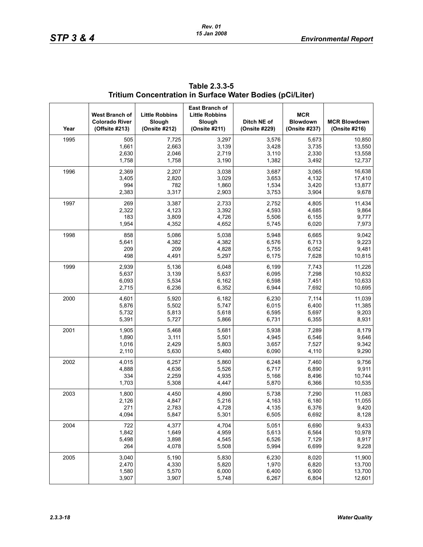| Year | West Branch of<br><b>Colorado River</b><br>(Offsite #213) | <b>Little Robbins</b><br>Slough<br>(Onsite #212) | East Branch of<br><b>Little Robbins</b><br>Slough<br>(Onsite #211) | Ditch NE of<br>(Onsite #229) | <b>MCR</b><br><b>Blowdown</b><br>(Onsite #237) | <b>MCR Blowdown</b><br>(Onsite #216) |
|------|-----------------------------------------------------------|--------------------------------------------------|--------------------------------------------------------------------|------------------------------|------------------------------------------------|--------------------------------------|
| 1995 | 505                                                       | 7,725                                            | 3,297                                                              | 3,576                        | 5,673                                          | 10,850                               |
|      | 1,661                                                     | 2,663                                            | 3,139                                                              | 3,428                        | 3,735                                          | 13,550                               |
|      | 2,630                                                     | 2,046                                            | 2,719                                                              | 3,110                        | 2,330                                          | 13,558                               |
|      | 1,758                                                     | 1,758                                            | 3,190                                                              | 1,382                        | 3,492                                          | 12,737                               |
| 1996 | 2,369                                                     | 2,207                                            | 3,038                                                              | 3,687                        | 3,065                                          | 16,638                               |
|      | 3,405                                                     | 2,820                                            | 3,029                                                              | 3,653                        | 4,132                                          | 17,410                               |
|      | 994                                                       | 782                                              | 1,860                                                              | 1,534                        | 3,420                                          | 13,877                               |
|      | 2,383                                                     | 3,317                                            | 2,903                                                              | 3,753                        | 3,904                                          | 9,678                                |
| 1997 | 269                                                       | 3,387                                            | 2,733                                                              | 2,752                        | 4,805                                          | 11,434                               |
|      | 2,322                                                     | 4,123                                            | 3,392                                                              | 4,593                        | 4,685                                          | 9,864                                |
|      | 183                                                       | 3,809                                            | 4,726                                                              | 5,506                        | 6,155                                          | 9,777                                |
|      | 1,954                                                     | 4,352                                            | 4,652                                                              | 5,745                        | 6,020                                          | 7,973                                |
| 1998 | 858                                                       | 5,086                                            | 5,038                                                              | 5,948                        | 6,665                                          | 9,042                                |
|      | 5,641                                                     | 4,382                                            | 4,382                                                              | 6,576                        | 6,713                                          | 9,223                                |
|      | 209                                                       | 209                                              | 4,828                                                              | 5,755                        | 6,052                                          | 9,481                                |
|      | 498                                                       | 4,491                                            | 5,297                                                              | 6,175                        | 7,628                                          | 10,815                               |
| 1999 | 2,939                                                     | 5,136                                            | 6,048                                                              | 6,199                        | 7,743                                          | 11,226                               |
|      | 5,637                                                     | 3,139                                            | 5,637                                                              | 6,095                        | 7,298                                          | 10,832                               |
|      | 6,093                                                     | 5,534                                            | 6,162                                                              | 6,598                        | 7,451                                          | 10,633                               |
|      | 2,715                                                     | 6,236                                            | 6,352                                                              | 6,944                        | 7,692                                          | 10,695                               |
| 2000 | 4,601                                                     | 5,920                                            | 6,182                                                              | 6,230                        | 7,114                                          | 11,039                               |
|      | 5,876                                                     | 5,502                                            | 5,747                                                              | 6,015                        | 6,400                                          | 11,385                               |
|      | 5,732                                                     | 5,813                                            | 5,618                                                              | 6,595                        | 5,697                                          | 9,203                                |
|      | 5,391                                                     | 5,727                                            | 5,866                                                              | 6,731                        | 6,355                                          | 8,931                                |
| 2001 | 1,905                                                     | 5,468                                            | 5,681                                                              | 5,938                        | 7,289                                          | 8,179                                |
|      | 1,890                                                     | 3,111                                            | 5,501                                                              | 4,945                        | 6,546                                          | 9,646                                |
|      | 1,016                                                     | 2,429                                            | 5,803                                                              | 3,657                        | 7,527                                          | 9,342                                |
|      | 2,110                                                     | 5,630                                            | 5,480                                                              | 6,090                        | 4,110                                          | 9,290                                |
| 2002 | 4,015                                                     | 6,257                                            | 5,860                                                              | 6,248                        | 7,460                                          | 9,756                                |
|      | 4,888                                                     | 4,636                                            | 5,526                                                              | 6,717                        | 6,890                                          | 9,911                                |
|      | 334                                                       | 2,259                                            | 4,935                                                              | 5,166                        | 8,496                                          | 10,744                               |
|      | 1,703                                                     | 5,308                                            | 4,447                                                              | 5,870                        | 6,366                                          | 10,535                               |
| 2003 | 1,800                                                     | 4,450                                            | 4,890                                                              | 5,738                        | 7,290                                          | 11,083                               |
|      | 2,126                                                     | 4,847                                            | 5,216                                                              | 4,163                        | 6,180                                          | 11,055                               |
|      | 271                                                       | 2,783                                            | 4,728                                                              | 4,135                        | 6,376                                          | 9,420                                |
|      | 4,094                                                     | 5,847                                            | 5,301                                                              | 6,505                        | 6,692                                          | 8,128                                |
| 2004 | 722                                                       | 4,377                                            | 4,704                                                              | 5,051                        | 6,690                                          | 9,433                                |
|      | 1,842                                                     | 1,649                                            | 4,959                                                              | 5,613                        | 6,564                                          | 10,978                               |
|      | 5,498                                                     | 3,898                                            | 4,545                                                              | 6,526                        | 7,129                                          | 8,917                                |
|      | 264                                                       | 4,078                                            | 5,508                                                              | 5,994                        | 6,699                                          | 9,228                                |
| 2005 | 3,040                                                     | 5,190                                            | 5,830                                                              | 6,230                        | 8,020                                          | 11,900                               |
|      | 2,470                                                     | 4,330                                            | 5,820                                                              | 1,970                        | 6,820                                          | 13,700                               |
|      | 1,580                                                     | 5,570                                            | 6,000                                                              | 6,400                        | 6,900                                          | 13,700                               |
|      | 3,907                                                     | 3,907                                            | 5,748                                                              | 6,267                        | 6,804                                          | 12,601                               |

| Table 2.3.3-5                                             |  |
|-----------------------------------------------------------|--|
| Tritium Concentration in Surface Water Bodies (pCi/Liter) |  |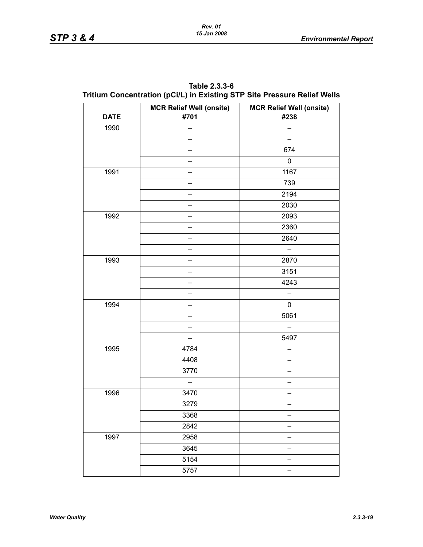| Table 2.3.3-6                                                            |
|--------------------------------------------------------------------------|
| Tritium Concentration (pCi/L) in Existing STP Site Pressure Relief Wells |

| <b>DATE</b> | <b>MCR Relief Well (onsite)</b><br>#701 | <b>MCR Relief Well (onsite)</b><br>#238 |
|-------------|-----------------------------------------|-----------------------------------------|
| 1990        |                                         |                                         |
|             |                                         |                                         |
|             |                                         | 674                                     |
|             |                                         | 0                                       |
| 1991        |                                         | 1167                                    |
|             |                                         | 739                                     |
|             |                                         | 2194                                    |
|             |                                         | 2030                                    |
| 1992        |                                         | 2093                                    |
|             |                                         | 2360                                    |
|             |                                         | 2640                                    |
|             |                                         |                                         |
| 1993        |                                         | 2870                                    |
|             |                                         | 3151                                    |
|             |                                         | 4243                                    |
|             |                                         |                                         |
| 1994        |                                         | 0                                       |
|             |                                         | 5061                                    |
|             |                                         |                                         |
|             |                                         | 5497                                    |
| 1995        | 4784                                    |                                         |
|             | 4408                                    |                                         |
|             | 3770                                    |                                         |
|             |                                         |                                         |
| 1996        | 3470                                    |                                         |
|             | 3279                                    |                                         |
|             | 3368                                    |                                         |
|             | 2842                                    |                                         |
| 1997        | 2958                                    |                                         |
|             | 3645                                    |                                         |
|             | 5154                                    |                                         |
|             | 5757                                    |                                         |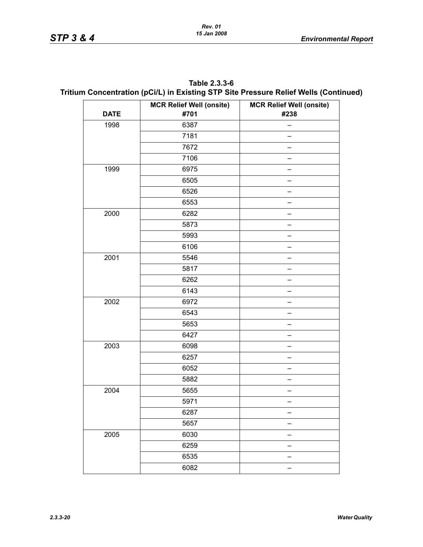| Table 2.3.3-6                                                                        |
|--------------------------------------------------------------------------------------|
| Tritium Concentration (pCi/L) in Existing STP Site Pressure Relief Wells (Continued) |

|             | <b>MCR Relief Well (onsite)</b> | <b>MCR Relief Well (onsite)</b> |
|-------------|---------------------------------|---------------------------------|
| <b>DATE</b> | #701                            | #238                            |
| 1998        | 6387                            |                                 |
|             | 7181                            |                                 |
|             | 7672                            |                                 |
|             | 7106                            |                                 |
| 1999        | 6975                            |                                 |
|             | 6505                            |                                 |
|             | 6526                            |                                 |
|             | 6553                            |                                 |
| 2000        | 6282                            |                                 |
|             | 5873                            |                                 |
|             | 5993                            |                                 |
|             | 6106                            |                                 |
| 2001        | 5546                            |                                 |
|             | 5817                            |                                 |
|             | 6262                            |                                 |
|             | 6143                            |                                 |
| 2002        | 6972                            |                                 |
|             | 6543                            |                                 |
|             | 5653                            |                                 |
|             | 6427                            |                                 |
| 2003        | 6098                            |                                 |
|             | 6257                            |                                 |
|             | 6052                            |                                 |
|             | 5882                            |                                 |
| 2004        | 5655                            |                                 |
|             | 5971                            |                                 |
|             | 6287                            |                                 |
|             | 5657                            |                                 |
| 2005        | 6030                            |                                 |
|             | 6259                            |                                 |
|             | 6535                            |                                 |
|             | 6082                            |                                 |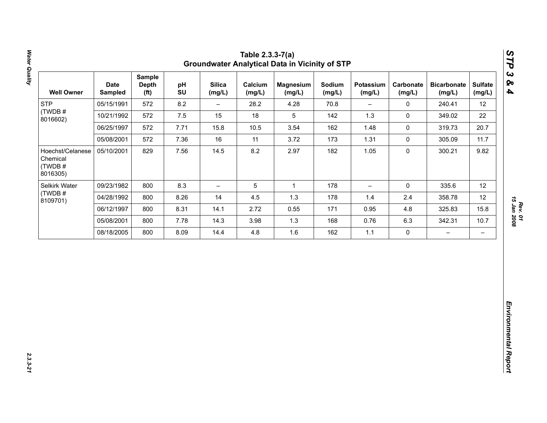|            | <b>Depth</b><br>(f <sup>t</sup> ) | pH<br>SU | <b>Silica</b><br>(mg/L)  | Calcium<br>(mg/L) | <b>Magnesium</b><br>(mg/L) | Sodium<br>(mg/L) | Potassium<br>(mg/L) | Carbonate<br>(mg/L) | <b>Bicarbonate</b><br>(mg/L) | <b>Sulfate</b><br>(mg/L) |
|------------|-----------------------------------|----------|--------------------------|-------------------|----------------------------|------------------|---------------------|---------------------|------------------------------|--------------------------|
| 05/15/1991 | 572                               | 8.2      | $\overline{\phantom{0}}$ | 28.2              | 4.28                       | 70.8             | Ξ.                  | $\mathsf{O}\xspace$ | 240.41                       | 12                       |
| 10/21/1992 | 572                               | $7.5\,$  | 15                       | 18                | $5\phantom{.0}$            | 142              | $1.3$               | $\pmb{0}$           | 349.02                       | 22                       |
| 06/25/1997 | 572                               | 7.71     | 15.8                     | 10.5              | 3.54                       | 162              | 1.48                | $\mathsf{O}\xspace$ | 319.73                       | 20.7                     |
| 05/08/2001 | 572                               | 7.36     | 16                       | 11                | 3.72                       | 173              | 1.31                | $\mathbf 0$         | 305.09                       | 11.7                     |
| 05/10/2001 | 829                               | 7.56     | 14.5                     | 8.2               | 2.97                       | 182              | 1.05                | $\pmb{0}$           | 300.21                       | 9.82                     |
| 09/23/1982 | 800                               | 8.3      | $\overline{\phantom{0}}$ | $\mathbf 5$       | $\mathbf{1}$               | 178              | $-$                 | $\mathbf 0$         | 335.6                        | 12                       |
| 04/28/1992 | 800                               | 8.26     | 14                       | 4.5               | 1.3                        | 178              | 1.4                 | 2.4                 | 358.78                       | 12                       |
| 06/12/1997 | 800                               | 8.31     | 14.1                     | 2.72              | 0.55                       | 171              | 0.95                | 4.8                 | 325.83                       | 15.8                     |
| 05/08/2001 | 800                               | 7.78     | 14.3                     | 3.98              | 1.3                        | 168              | 0.76                | 6.3                 | 342.31                       | 10.7                     |
| 08/18/2005 | 800                               | 8.09     | 14.4                     | $4.8\,$           | 1.6                        | 162              | $1.1$               | $\pmb{0}$           | $\qquad \qquad -$            | $-$                      |
|            |                                   |          |                          |                   |                            |                  |                     |                     |                              |                          |

Water Quality *Water Quality 2.3.3-21*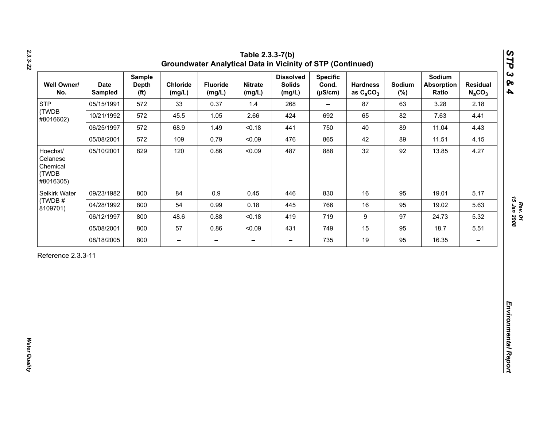| <b>STP</b><br>05/15/1991<br>(TWDB<br>10/21/1992                      | 572 | (mg/L)                   | <b>Fluoride</b><br>(mg/L) | <b>Nitrate</b><br>(mg/L) | <b>Dissolved</b><br><b>Solids</b><br>(mg/L) | <b>Specific</b><br>Cond.<br>$(\mu S/cm)$ | <b>Hardness</b><br>as $C_2CO_3$ | Sodium<br>$(\%)$ | Sodium<br><b>Absorption</b><br>Ratio | <b>Residual</b><br>$N_aCO_3$ |
|----------------------------------------------------------------------|-----|--------------------------|---------------------------|--------------------------|---------------------------------------------|------------------------------------------|---------------------------------|------------------|--------------------------------------|------------------------------|
| #8016602)                                                            |     | 33                       | 0.37                      | 1.4                      | 268                                         | $\overline{\phantom{a}}$                 | 87                              | 63               | 3.28                                 | 2.18                         |
|                                                                      | 572 | 45.5                     | 1.05                      | 2.66                     | 424                                         | 692                                      | 65                              | 82               | 7.63                                 | 4.41                         |
| 06/25/1997                                                           | 572 | 68.9                     | 1.49                      | < 0.18                   | 441                                         | 750                                      | 40                              | 89               | 11.04                                | 4.43                         |
| 05/08/2001                                                           | 572 | 109                      | 0.79                      | < 0.09                   | 476                                         | 865                                      | 42                              | 89               | 11.51                                | 4.15                         |
| Hoechst/<br>05/10/2001<br>Celanese<br>Chemical<br>(TWDB<br>#8016305) | 829 | 120                      | 0.86                      | < 0.09                   | 487                                         | 888                                      | 32                              | 92               | 13.85                                | 4.27                         |
| Selkirk Water<br>09/23/1982                                          | 800 | 84                       | 0.9                       | 0.45                     | 446                                         | 830                                      | 16                              | 95               | 19.01                                | 5.17                         |
| (TWDB#<br>04/28/1992<br>8109701)                                     | 800 | 54                       | 0.99                      | 0.18                     | 445                                         | 766                                      | 16                              | 95               | 19.02                                | 5.63                         |
| 06/12/1997                                                           | 800 | 48.6                     | 0.88                      | < 0.18                   | 419                                         | 719                                      | $\boldsymbol{9}$                | 97               | 24.73                                | 5.32                         |
| 05/08/2001                                                           | 800 | 57                       | 0.86                      | < 0.09                   | 431                                         | 749                                      | 15                              | 95               | 18.7                                 | 5.51                         |
| 08/18/2005                                                           | 800 | $\overline{\phantom{0}}$ | $\overline{\phantom{m}}$  | $\overline{\phantom{0}}$ | $\overline{\phantom{0}}$                    | 735                                      | 19                              | 95               | 16.35                                | $\overline{\phantom{m}}$     |

*2.3.3-22*

*Rev. 01*<br>15 Jan 2008 *15 Jan 2008*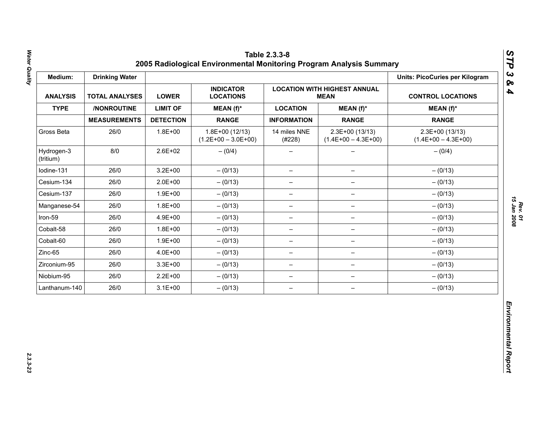| Medium:                 | <b>Drinking Water</b> |                  |                                           |                          |                                                    | <b>Units: PicoCuries per Kilogram</b>     |
|-------------------------|-----------------------|------------------|-------------------------------------------|--------------------------|----------------------------------------------------|-------------------------------------------|
| <b>ANALYSIS</b>         | <b>TOTAL ANALYSES</b> | <b>LOWER</b>     | <b>INDICATOR</b><br><b>LOCATIONS</b>      |                          | <b>LOCATION WITH HIGHEST ANNUAL</b><br><b>MEAN</b> | <b>CONTROL LOCATIONS</b>                  |
| <b>TYPE</b>             | /NONROUTINE           | <b>LIMIT OF</b>  | MEAN (f)*                                 | <b>LOCATION</b>          | $MEAN(f)^*$                                        | $MEAN(f)^*$                               |
|                         | <b>MEASUREMENTS</b>   | <b>DETECTION</b> | <b>RANGE</b>                              | <b>INFORMATION</b>       | <b>RANGE</b>                                       | <b>RANGE</b>                              |
| Gross Beta              | 26/0                  | $1.8E + 00$      | $1.8E+00(12/13)$<br>$(1.2E+00 - 3.0E+00)$ | 14 miles NNE<br>(#228)   | $2.3E+00(13/13)$<br>$(1.4E+00 - 4.3E+00)$          | $2.3E+00(13/13)$<br>$(1.4E+00 - 4.3E+00)$ |
| Hydrogen-3<br>(tritium) | 8/0                   | 2.6E+02          | $-(0/4)$                                  |                          |                                                    | $- (0/4)$                                 |
| Iodine-131              | 26/0                  | $3.2E + 00$      | $- (0/13)$                                | $\overline{\phantom{0}}$ | $\overline{\phantom{m}}$                           | $- (0/13)$                                |
| Cesium-134              | 26/0                  | $2.0E + 00$      | $- (0/13)$                                | $\qquad \qquad -$        | $\overline{\phantom{m}}$                           | $- (0/13)$                                |
| Cesium-137              | 26/0                  | $1.9E + 00$      | $- (0/13)$                                | -                        |                                                    | $- (0/13)$                                |
| Manganese-54            | 26/0                  | $1.8E + 00$      | $- (0/13)$                                | $\qquad \qquad -$        | $\qquad \qquad -$                                  | $- (0/13)$                                |
| Iron-59                 | 26/0                  | 4.9E+00          | $- (0/13)$                                | $\qquad \qquad -$        | $\qquad \qquad -$                                  | $- (0/13)$                                |
| Cobalt-58               | 26/0                  | $1.8E + 00$      | $- (0/13)$                                | $\overline{\phantom{0}}$ | $\qquad \qquad -$                                  | $- (0/13)$                                |
| Cobalt-60               | 26/0                  | $1.9E + 00$      | $- (0/13)$                                | $\overline{\phantom{0}}$ | $\qquad \qquad -$                                  | $- (0/13)$                                |
| Zinc-65                 | 26/0                  | 4.0E+00          | $- (0/13)$                                | $\qquad \qquad -$        | $\overline{\phantom{0}}$                           | $- (0/13)$                                |
| Zirconium-95            | 26/0                  | $3.3E + 00$      | $- (0/13)$                                | $\qquad \qquad -$        | $\overline{\phantom{m}}$                           | $- (0/13)$                                |
| Niobium-95              | 26/0                  | $2.2E + 00$      | $- (0/13)$                                | $\qquad \qquad -$        | $\overline{\phantom{m}}$                           | $- (0/13)$                                |
| Lanthanum-140           | 26/0                  | $3.1E + 00$      | $- (0/13)$                                | $\qquad \qquad -$        | $\overline{\phantom{m}}$                           | $- (0/13)$                                |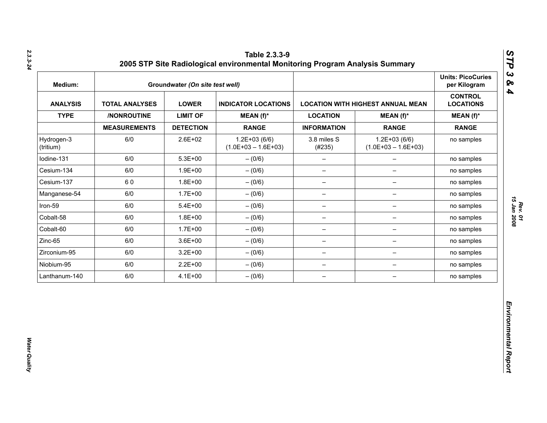| Medium:                 |                       | Groundwater (On site test well) |                                           |                          |                                           | <b>Units: PicoCuries</b><br>per Kilogram |
|-------------------------|-----------------------|---------------------------------|-------------------------------------------|--------------------------|-------------------------------------------|------------------------------------------|
| <b>ANALYSIS</b>         | <b>TOTAL ANALYSES</b> | <b>LOWER</b>                    | <b>INDICATOR LOCATIONS</b>                |                          | <b>LOCATION WITH HIGHEST ANNUAL MEAN</b>  | <b>CONTROL</b><br><b>LOCATIONS</b>       |
| <b>TYPE</b>             | /NONROUTINE           | <b>LIMIT OF</b>                 | MEAN $(f)^*$                              | <b>LOCATION</b>          | $MEAN(f)^*$                               | $MEAN(f)^*$                              |
|                         | <b>MEASUREMENTS</b>   | <b>DETECTION</b>                | <b>RANGE</b>                              | <b>INFORMATION</b>       | <b>RANGE</b>                              | <b>RANGE</b>                             |
| Hydrogen-3<br>(tritium) | 6/0                   | 2.6E+02                         | $1.2E + 03(6/6)$<br>$(1.0E+03 - 1.6E+03)$ | 3.8 miles S<br>(#235)    | $1.2E + 03(6/6)$<br>$(1.0E+03 - 1.6E+03)$ | no samples                               |
| lodine-131              | 6/0                   | $5.3E + 00$                     | $- (0/6)$                                 | $\overline{\phantom{0}}$ | $\overline{\phantom{0}}$                  | no samples                               |
| Cesium-134              | 6/0                   | $1.9E + 00$                     | $- (0/6)$                                 | $\qquad \qquad -$        | —                                         | no samples                               |
| Cesium-137              | 60                    | 1.8E+00                         | $- (0/6)$                                 | $\overline{\phantom{0}}$ | $\qquad \qquad -$                         | no samples                               |
| Manganese-54            | 6/0                   | $1.7E + 00$                     | $- (0/6)$                                 | $\qquad \qquad -$        | $\qquad \qquad -$                         | no samples                               |
| Iron-59                 | 6/0                   | $5.4E + 00$                     | $- (0/6)$                                 | $\overline{\phantom{0}}$ | -                                         | no samples                               |
| Cobalt-58               | 6/0                   | $1.8E + 00$                     | $- (0/6)$                                 | $\overline{\phantom{m}}$ | $\qquad \qquad -$                         | no samples                               |
| Cobalt-60               | 6/0                   | $1.7E + 00$                     | $- (0/6)$                                 | $\overline{\phantom{m}}$ | $\qquad \qquad -$                         | no samples                               |
| Zinc-65                 | 6/0                   | $3.6E + 00$                     | $- (0/6)$                                 | $\overline{\phantom{m}}$ | $\qquad \qquad -$                         | no samples                               |
| Zirconium-95            | 6/0                   | $3.2E + 00$                     | $-(0/6)$                                  | $\overline{\phantom{0}}$ | -                                         | no samples                               |
| Niobium-95              | 6/0                   | $2.2E + 00$                     | $-(0/6)$                                  | $\overline{\phantom{m}}$ | $\overline{\phantom{a}}$                  | no samples                               |
| Lanthanum-140           | 6/0                   | $4.1E + 00$                     | $- (0/6)$                                 | $\overline{\phantom{m}}$ | $\qquad \qquad -$                         | no samples                               |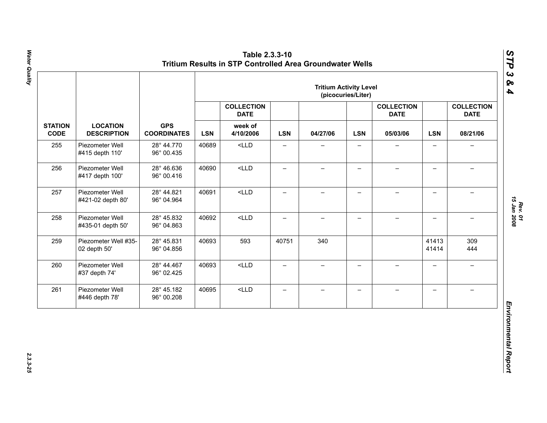|                               | <b>LOCATION</b><br><b>DESCRIPTION</b> | <b>GPS</b><br><b>COORDINATES</b> | <b>Tritium Activity Level</b><br>(picocuries/Liter) |                                                          |                          |                          |                          |                                              |                          |                                              |  |
|-------------------------------|---------------------------------------|----------------------------------|-----------------------------------------------------|----------------------------------------------------------|--------------------------|--------------------------|--------------------------|----------------------------------------------|--------------------------|----------------------------------------------|--|
|                               |                                       |                                  | <b>LSN</b>                                          | <b>COLLECTION</b><br><b>DATE</b><br>week of<br>4/10/2006 | <b>LSN</b>               | 04/27/06                 | <b>LSN</b>               | <b>COLLECTION</b><br><b>DATE</b><br>05/03/06 | <b>LSN</b>               | <b>COLLECTION</b><br><b>DATE</b><br>08/21/06 |  |
| <b>STATION</b><br><b>CODE</b> |                                       |                                  |                                                     |                                                          |                          |                          |                          |                                              |                          |                                              |  |
| 255                           | Piezometer Well<br>#415 depth 110'    | 28° 44.770<br>96° 00.435         | 40689                                               | $<$ LLD                                                  | $\overline{\phantom{0}}$ |                          |                          |                                              | $\overline{\phantom{0}}$ |                                              |  |
| 256                           | Piezometer Well<br>#417 depth 100'    | 28° 46.636<br>96° 00.416         | 40690                                               | $<$ LLD                                                  | $\qquad \qquad -$        | $\overline{\phantom{0}}$ | $\qquad \qquad -$        |                                              | $\overline{\phantom{0}}$ |                                              |  |
| 257                           | Piezometer Well<br>#421-02 depth 80'  | 28° 44.821<br>96° 04.964         | 40691                                               | $<$ LLD                                                  | $\overline{\phantom{0}}$ | $\qquad \qquad -$        | $\overline{\phantom{0}}$ | $\overline{\phantom{0}}$                     | $\overline{\phantom{0}}$ | $\equiv$                                     |  |
| 258                           | Piezometer Well<br>#435-01 depth 50'  | 28° 45.832<br>96° 04.863         | 40692                                               | $<$ LLD                                                  | $\overline{\phantom{0}}$ | $\overline{\phantom{0}}$ | $\overline{\phantom{0}}$ | $\!-$                                        | $\overline{a}$           | $\overline{\phantom{m}}$                     |  |
| 259                           | Piezometer Well #35-<br>02 depth 50'  | 28° 45.831<br>96° 04.856         | 40693                                               | 593                                                      | 40751                    | 340                      |                          |                                              | 41413<br>41414           | 309<br>444                                   |  |
| 260                           | Piezometer Well<br>#37 depth 74'      | 28° 44.467<br>96° 02.425         | 40693                                               | $<$ LLD                                                  | $\overline{\phantom{0}}$ | $\qquad \qquad -$        | $\overline{\phantom{0}}$ | $\equiv$                                     | $\overline{\phantom{0}}$ | $\rightarrow$                                |  |
| 261                           | Piezometer Well<br>#446 depth 78'     | 28° 45.182<br>96° 00.208         | 40695                                               | $<$ LLD                                                  | $\qquad \qquad -$        | $\qquad \qquad -$        | $\overline{\phantom{m}}$ | $\qquad \qquad -$                            | $\overline{\phantom{0}}$ | $\overline{\phantom{0}}$                     |  |

*STP 3 & 4*

2.3.3-25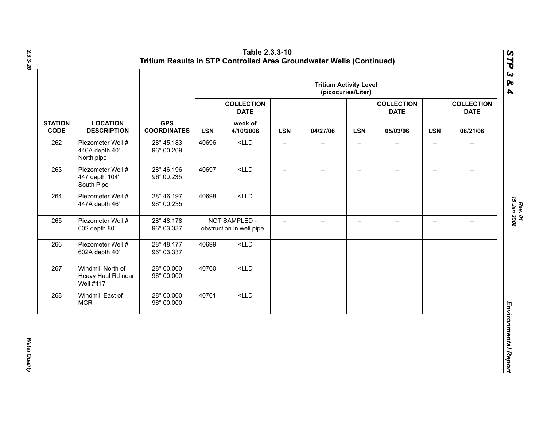|                               | <b>LOCATION</b><br><b>DESCRIPTION</b>                       | <b>GPS</b><br><b>COORDINATES</b> | <b>Tritium Activity Level</b><br>(picocuries/Liter) |                                                          |                          |                          |                          |                                              |                          |                                              |  |
|-------------------------------|-------------------------------------------------------------|----------------------------------|-----------------------------------------------------|----------------------------------------------------------|--------------------------|--------------------------|--------------------------|----------------------------------------------|--------------------------|----------------------------------------------|--|
|                               |                                                             |                                  | <b>LSN</b>                                          | <b>COLLECTION</b><br><b>DATE</b><br>week of<br>4/10/2006 | <b>LSN</b>               | 04/27/06                 | <b>LSN</b>               | <b>COLLECTION</b><br><b>DATE</b><br>05/03/06 | <b>LSN</b>               | <b>COLLECTION</b><br><b>DATE</b><br>08/21/06 |  |
| <b>STATION</b><br><b>CODE</b> |                                                             |                                  |                                                     |                                                          |                          |                          |                          |                                              |                          |                                              |  |
| 262                           | Piezometer Well #<br>446A depth 40'<br>North pipe           | 28° 45.183<br>96° 00.209         | 40696                                               | $<$ LLD                                                  | $\qquad \qquad -$        | —                        | $\overline{\phantom{0}}$ |                                              | $\qquad \qquad -$        | $\overline{\phantom{0}}$                     |  |
| 263                           | Piezometer Well #<br>447 depth 104'<br>South Pipe           | 28° 46.196<br>96° 00.235         | 40697                                               | $<$ LLD                                                  | $\overline{\phantom{0}}$ | $\overline{\phantom{0}}$ | $\overline{\phantom{0}}$ |                                              | $\qquad \qquad -$        |                                              |  |
| 264                           | Piezometer Well #<br>447A depth 46'                         | 28° 46.197<br>96° 00.235         | 40698                                               | $<$ LLD                                                  | —                        | $\overline{\phantom{0}}$ | $\overline{\phantom{0}}$ |                                              | $\overline{\phantom{0}}$ |                                              |  |
| 265                           | Piezometer Well #<br>602 depth 80'                          | 28° 48.178<br>96° 03.337         |                                                     | NOT SAMPLED -<br>obstruction in well pipe                | $-$                      | $-$                      | $\overline{\phantom{0}}$ |                                              | $\overline{\phantom{0}}$ |                                              |  |
| 266                           | Piezometer Well #<br>602A depth 40'                         | 28° 48.177<br>96° 03.337         | 40699                                               | $<$ LLD                                                  | $\qquad \qquad -$        | $\overline{\phantom{0}}$ | $\qquad \qquad -$        |                                              | $\overline{\phantom{0}}$ |                                              |  |
| 267                           | Windmill North of<br>Heavy Haul Rd near<br><b>Well #417</b> | 28° 00.000<br>96° 00.000         | 40700                                               | $<$ LLD                                                  | $\equiv$                 | $\overline{\phantom{0}}$ | $-$                      | $\!-$                                        | $\overline{\phantom{0}}$ | $\overline{\phantom{0}}$                     |  |
| 268                           | Windmill East of<br><b>MCR</b>                              | 28° 00.000<br>96° 00.000         | 40701                                               | $<$ LLD                                                  | $\qquad \qquad -$        | $\overline{\phantom{0}}$ | —                        |                                              | $\qquad \qquad -$        |                                              |  |

**Water Quality**